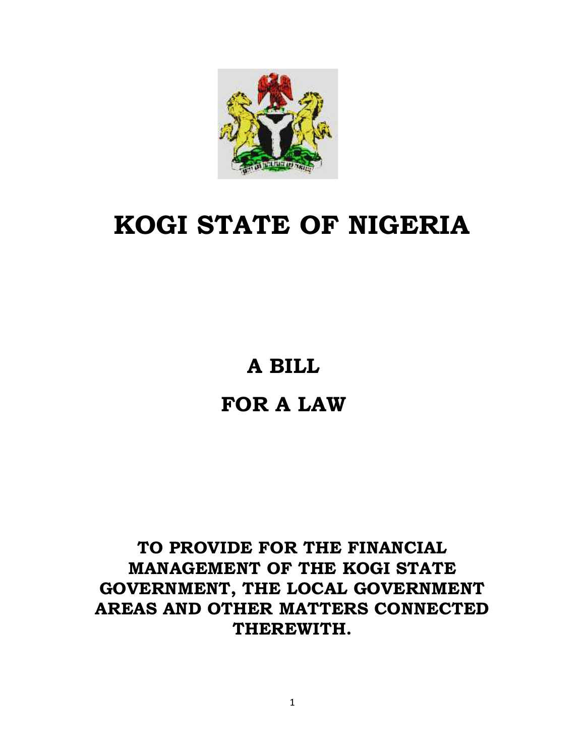

# **KOGI STATE OF NIGERIA**

# **A BILL**

# **FOR A LAW**

# **TO PROVIDE FOR THE FINANCIAL MANAGEMENT OF THE KOGI STATE GOVERNMENT, THE LOCAL GOVERNMENT AREAS AND OTHER MATTERS CONNECTED THEREWITH.**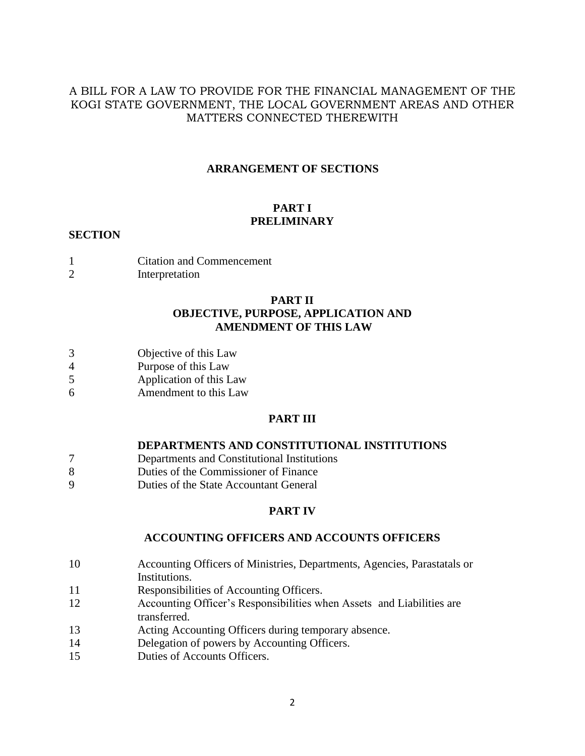#### A BILL FOR A LAW TO PROVIDE FOR THE FINANCIAL MANAGEMENT OF THE KOGI STATE GOVERNMENT, THE LOCAL GOVERNMENT AREAS AND OTHER MATTERS CONNECTED THEREWITH

#### **ARRANGEMENT OF SECTIONS**

### **PART I PRELIMINARY**

#### **SECTION**

- 1 Citation and Commencement
- 2 Interpretation

#### **PART II OBJECTIVE, PURPOSE, APPLICATION AND AMENDMENT OF THIS LAW**

- 3 Objective of this Law
- 4 Purpose of this Law
- 5 Application of this Law
- 6 Amendment to this Law

#### **PART III**

#### **DEPARTMENTS AND CONSTITUTIONAL INSTITUTIONS**

- 7 Departments and Constitutional Institutions
- 8 Duties of the Commissioner of Finance
- 9 Duties of the State Accountant General

#### **PART IV**

#### **ACCOUNTING OFFICERS AND ACCOUNTS OFFICERS**

- 10 Accounting Officers of Ministries, Departments, Agencies, Parastatals or Institutions.
- 11 Responsibilities of Accounting Officers.
- 12 Accounting Officer's Responsibilities when Assets and Liabilities are transferred.
- 13 Acting Accounting Officers during temporary absence.
- 14 Delegation of powers by Accounting Officers.
- 15 Duties of Accounts Officers.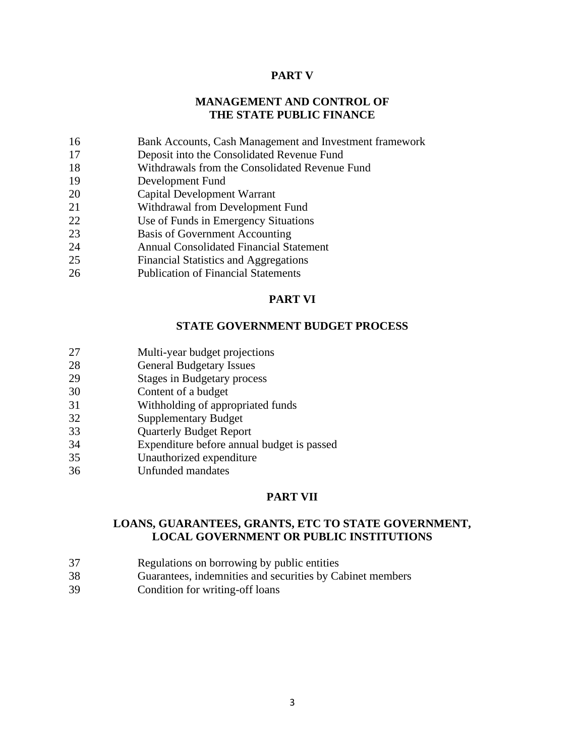#### **PART V**

#### **MANAGEMENT AND CONTROL OF THE STATE PUBLIC FINANCE**

- Bank Accounts, Cash Management and Investment framework
- Deposit into the Consolidated Revenue Fund
- Withdrawals from the Consolidated Revenue Fund
- Development Fund
- Capital Development Warrant
- Withdrawal from Development Fund
- Use of Funds in Emergency Situations
- Basis of Government Accounting
- Annual Consolidated Financial Statement
- Financial Statistics and Aggregations
- Publication of Financial Statements

#### **PART VI**

#### **STATE GOVERNMENT BUDGET PROCESS**

- Multi-year budget projections
- General Budgetary Issues
- Stages in Budgetary process
- Content of a budget
- Withholding of appropriated funds
- Supplementary Budget
- Quarterly Budget Report
- Expenditure before annual budget is passed
- Unauthorized expenditure
- Unfunded mandates

#### **PART VII**

#### **LOANS, GUARANTEES, GRANTS, ETC TO STATE GOVERNMENT, LOCAL GOVERNMENT OR PUBLIC INSTITUTIONS**

- Regulations on borrowing by public entities
- Guarantees, indemnities and securities by Cabinet members
- Condition for writing-off loans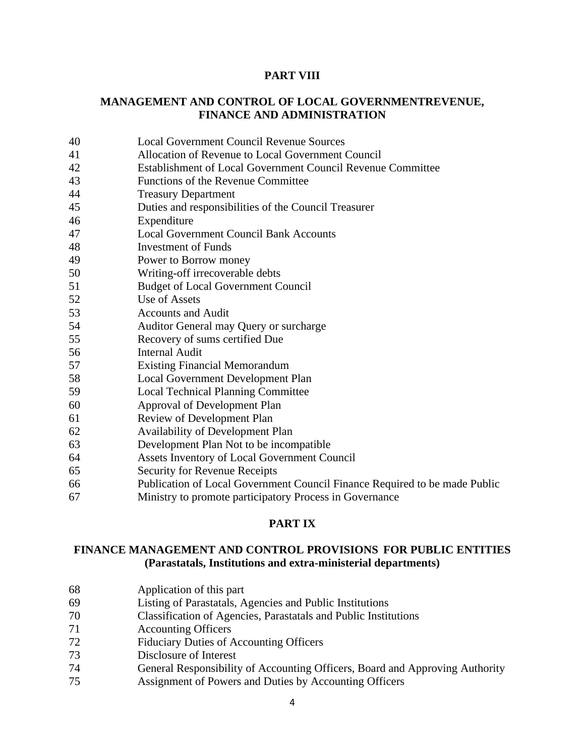#### **PART VIII**

#### **MANAGEMENT AND CONTROL OF LOCAL GOVERNMENTREVENUE, FINANCE AND ADMINISTRATION**

- Local Government Council Revenue Sources
- Allocation of Revenue to Local Government Council
- Establishment of Local Government Council Revenue Committee
- Functions of the Revenue Committee
- Treasury Department
- Duties and responsibilities of the Council Treasurer
- Expenditure
- Local Government Council Bank Accounts
- Investment of Funds
- Power to Borrow money
- Writing-off irrecoverable debts
- Budget of Local Government Council
- Use of Assets
- Accounts and Audit
- Auditor General may Query or surcharge
- Recovery of sums certified Due
- Internal Audit
- Existing Financial Memorandum
- Local Government Development Plan
- Local Technical Planning Committee
- Approval of Development Plan
- Review of Development Plan
- Availability of Development Plan
- Development Plan Not to be incompatible
- Assets Inventory of Local Government Council
- Security for Revenue Receipts
- Publication of Local Government Council Finance Required to be made Public
- Ministry to promote participatory Process in Governance

#### **PART IX**

#### **FINANCE MANAGEMENT AND CONTROL PROVISIONS FOR PUBLIC ENTITIES (Parastatals, Institutions and extra-ministerial departments)**

- Application of this part
- Listing of Parastatals, Agencies and Public Institutions
- Classification of Agencies, Parastatals and Public Institutions
- Accounting Officers
- Fiduciary Duties of Accounting Officers
- Disclosure of Interest
- General Responsibility of Accounting Officers, Board and Approving Authority
- Assignment of Powers and Duties by Accounting Officers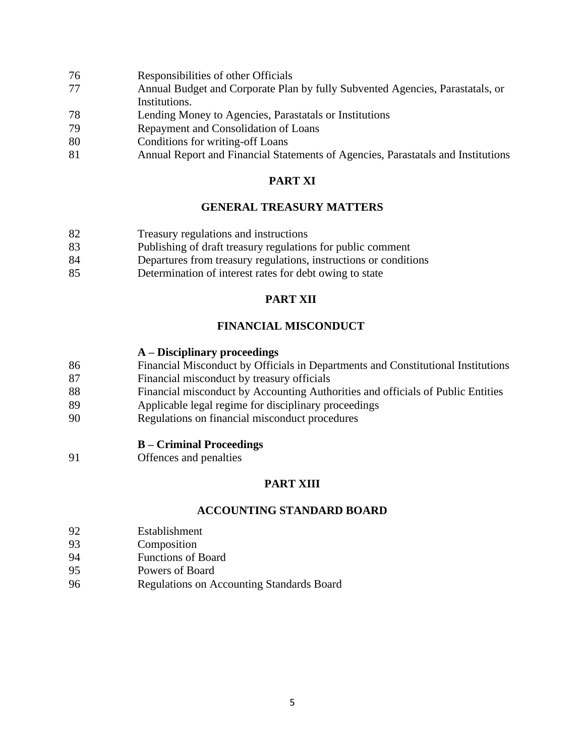- Responsibilities of other Officials
- Annual Budget and Corporate Plan by fully Subvented Agencies, Parastatals, or Institutions.
- Lending Money to Agencies, Parastatals or Institutions
- Repayment and Consolidation of Loans
- Conditions for writing-off Loans
- Annual Report and Financial Statements of Agencies, Parastatals and Institutions

### **PART XI**

#### **GENERAL TREASURY MATTERS**

- Treasury regulations and instructions
- Publishing of draft treasury regulations for public comment
- Departures from treasury regulations, instructions or conditions
- Determination of interest rates for debt owing to state

#### **PART XII**

#### **FINANCIAL MISCONDUCT**

#### **A – Disciplinary proceedings**

- Financial Misconduct by Officials in Departments and Constitutional Institutions
- Financial misconduct by treasury officials
- Financial misconduct by Accounting Authorities and officials of Public Entities
- Applicable legal regime for disciplinary proceedings
- Regulations on financial misconduct procedures

#### **B – Criminal Proceedings**

Offences and penalties

#### **PART XIII**

#### **ACCOUNTING STANDARD BOARD**

- Establishment
- Composition
- Functions of Board
- Powers of Board
- Regulations on Accounting Standards Board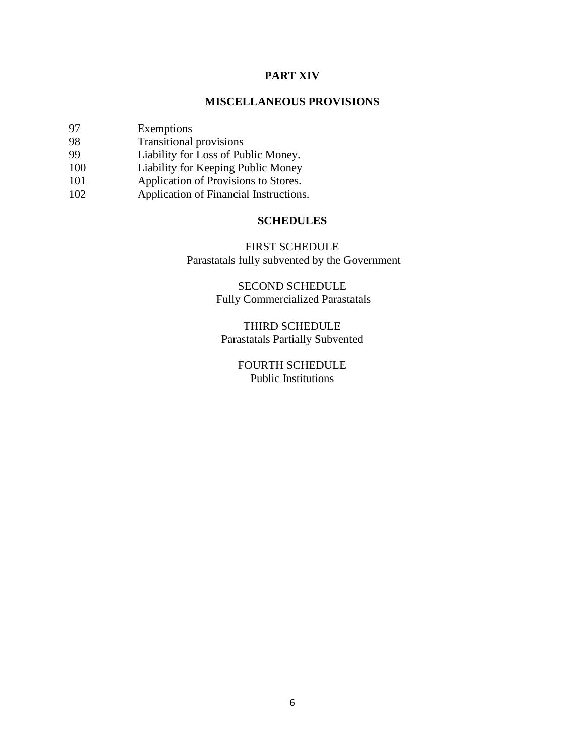#### **PART XIV**

#### **MISCELLANEOUS PROVISIONS**

- 97 Exemptions
- 98 Transitional provisions<br>99 Liability for Loss of Pul
- Liability for Loss of Public Money.
- 100 Liability for Keeping Public Money
- 101 **Application of Provisions to Stores.**
- 102 Application of Financial Instructions.

#### **SCHEDULES**

#### FIRST SCHEDULE

Parastatals fully subvented by the Government

#### SECOND SCHEDULE Fully Commercialized Parastatals

THIRD SCHEDULE Parastatals Partially Subvented

#### FOURTH SCHEDULE Public Institutions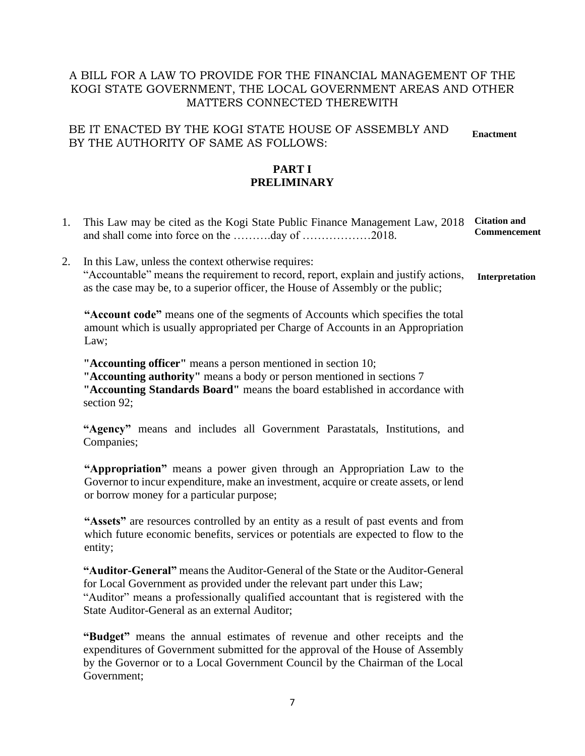### A BILL FOR A LAW TO PROVIDE FOR THE FINANCIAL MANAGEMENT OF THE KOGI STATE GOVERNMENT, THE LOCAL GOVERNMENT AREAS AND OTHER MATTERS CONNECTED THEREWITH

BE IT ENACTED BY THE KOGI STATE HOUSE OF ASSEMBLY AND BY THE AUTHORITY OF SAME AS FOLLOWS: **Enactment**

#### **PART I PRELIMINARY**

- 1. This Law may be cited as the Kogi State Public Finance Management Law, 2018 and shall come into force on the ……….day of ………………2018. **Citation and Commencement**
- 2. In this Law, unless the context otherwise requires: "Accountable" means the requirement to record, report, explain and justify actions, as the case may be, to a superior officer, the House of Assembly or the public; **Interpretation**

**"Account code"** means one of the segments of Accounts which specifies the total amount which is usually appropriated per Charge of Accounts in an Appropriation Law;

**"Accounting officer"** means a person mentioned in section 10;

**"Accounting authority"** means a body or person mentioned in sections 7

**"Accounting Standards Board"** means the board established in accordance with section 92;

**"Agency"** means and includes all Government Parastatals, Institutions, and Companies;

**"Appropriation"** means a power given through an Appropriation Law to the Governor to incur expenditure, make an investment, acquire or create assets, or lend or borrow money for a particular purpose;

**"Assets"** are resources controlled by an entity as a result of past events and from which future economic benefits, services or potentials are expected to flow to the entity;

**"Auditor-General"** means the Auditor-General of the State or the Auditor-General for Local Government as provided under the relevant part under this Law; "Auditor" means a professionally qualified accountant that is registered with the State Auditor-General as an external Auditor;

**"Budget"** means the annual estimates of revenue and other receipts and the expenditures of Government submitted for the approval of the House of Assembly by the Governor or to a Local Government Council by the Chairman of the Local Government;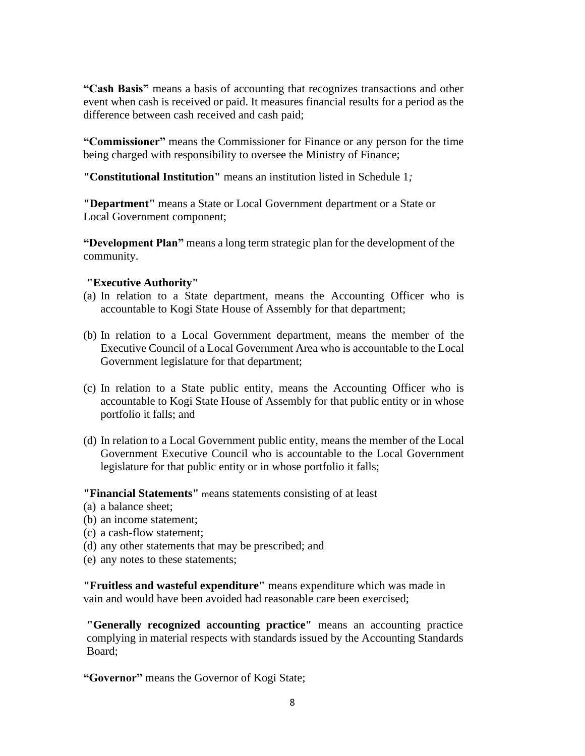**"Cash Basis"** means a basis of accounting that recognizes transactions and other event when cash is received or paid. It measures financial results for a period as the difference between cash received and cash paid;

**"Commissioner"** means the Commissioner for Finance or any person for the time being charged with responsibility to oversee the Ministry of Finance;

**"Constitutional Institution"** means an institution listed in Schedule 1*;*

**"Department"** means a State or Local Government department or a State or Local Government component;

**"Development Plan"** means a long term strategic plan for the development of the community.

#### **"Executive Authority"**

- (a) In relation to a State department, means the Accounting Officer who is accountable to Kogi State House of Assembly for that department;
- (b) In relation to a Local Government department, means the member of the Executive Council of a Local Government Area who is accountable to the Local Government legislature for that department;
- (c) In relation to a State public entity, means the Accounting Officer who is accountable to Kogi State House of Assembly for that public entity or in whose portfolio it falls; and
- (d) In relation to a Local Government public entity, means the member of the Local Government Executive Council who is accountable to the Local Government legislature for that public entity or in whose portfolio it falls;

**"Financial Statements"** <sup>m</sup>eans statements consisting of at least

- (a) a balance sheet;
- (b) an income statement;
- (c) a cash-flow statement;
- (d) any other statements that may be prescribed; and
- (e) any notes to these statements;

**"Fruitless and wasteful expenditure"** means expenditure which was made in vain and would have been avoided had reasonable care been exercised;

**"Generally recognized accounting practice"** means an accounting practice complying in material respects with standards issued by the Accounting Standards Board;

**"Governor"** means the Governor of Kogi State;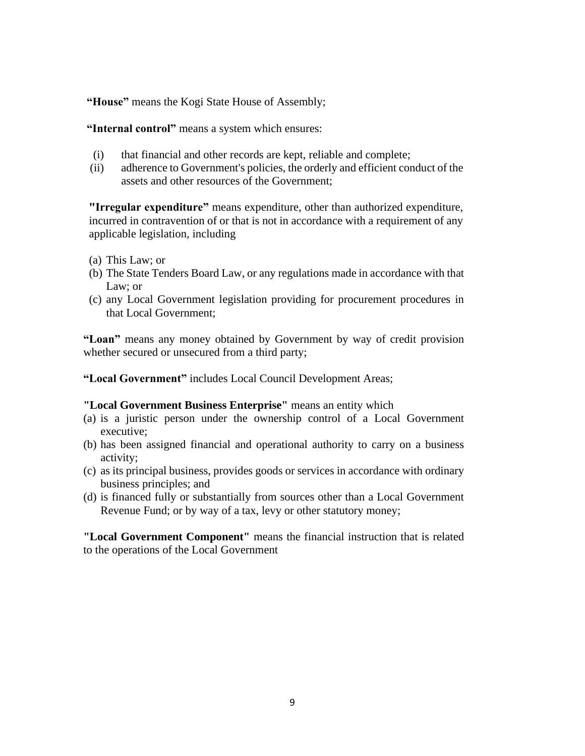**"House"** means the Kogi State House of Assembly;

**"Internal control"** means a system which ensures:

- (i) that financial and other records are kept, reliable and complete;
- (ii) adherence to Government's policies, the orderly and efficient conduct of the assets and other resources of the Government;

**"Irregular expenditure"** means expenditure, other than authorized expenditure, incurred in contravention of or that is not in accordance with a requirement of any applicable legislation, including

- (a) This Law; or
- (b) The State Tenders Board Law, or any regulations made in accordance with that Law; or
- (c) any Local Government legislation providing for procurement procedures in that Local Government;

**"Loan"** means any money obtained by Government by way of credit provision whether secured or unsecured from a third party;

**"Local Government"** includes Local Council Development Areas;

#### **"Local Government Business Enterprise"** means an entity which

- (a) is a juristic person under the ownership control of a Local Government executive;
- (b) has been assigned financial and operational authority to carry on a business activity;
- (c) as its principal business, provides goods or services in accordance with ordinary business principles; and
- (d) is financed fully or substantially from sources other than a Local Government Revenue Fund; or by way of a tax, levy or other statutory money;

**"Local Government Component"** means the financial instruction that is related to the operations of the Local Government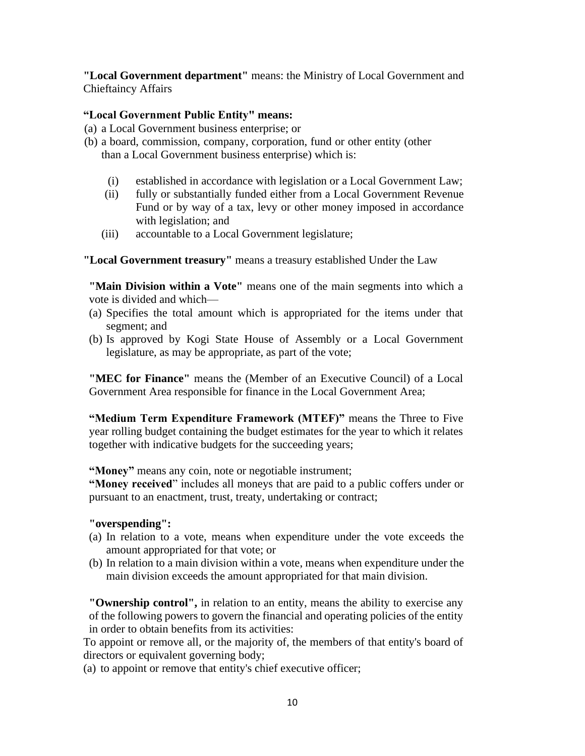**"Local Government department"** means: the Ministry of Local Government and Chieftaincy Affairs

#### **"Local Government Public Entity" means:**

- (a) a Local Government business enterprise; or
- (b) a board, commission, company, corporation, fund or other entity (other than a Local Government business enterprise) which is:
	- (i) established in accordance with legislation or a Local Government Law;
	- (ii) fully or substantially funded either from a Local Government Revenue Fund or by way of a tax, levy or other money imposed in accordance with legislation; and
	- (iii) accountable to a Local Government legislature;

**"Local Government treasury"** means a treasury established Under the Law

**"Main Division within a Vote"** means one of the main segments into which a vote is divided and which—

- (a) Specifies the total amount which is appropriated for the items under that segment; and
- (b) Is approved by Kogi State House of Assembly or a Local Government legislature, as may be appropriate, as part of the vote;

**"MEC for Finance"** means the (Member of an Executive Council) of a Local Government Area responsible for finance in the Local Government Area;

**"Medium Term Expenditure Framework (MTEF)"** means the Three to Five year rolling budget containing the budget estimates for the year to which it relates together with indicative budgets for the succeeding years;

**"Money"** means any coin, note or negotiable instrument;

**"Money received**" includes all moneys that are paid to a public coffers under or pursuant to an enactment, trust, treaty, undertaking or contract;

#### **"overspending":**

- (a) In relation to a vote, means when expenditure under the vote exceeds the amount appropriated for that vote; or
- (b) In relation to a main division within a vote, means when expenditure under the main division exceeds the amount appropriated for that main division.

**"Ownership control",** in relation to an entity, means the ability to exercise any of the following powers to govern the financial and operating policies of the entity in order to obtain benefits from its activities:

To appoint or remove all, or the majority of, the members of that entity's board of directors or equivalent governing body;

(a) to appoint or remove that entity's chief executive officer;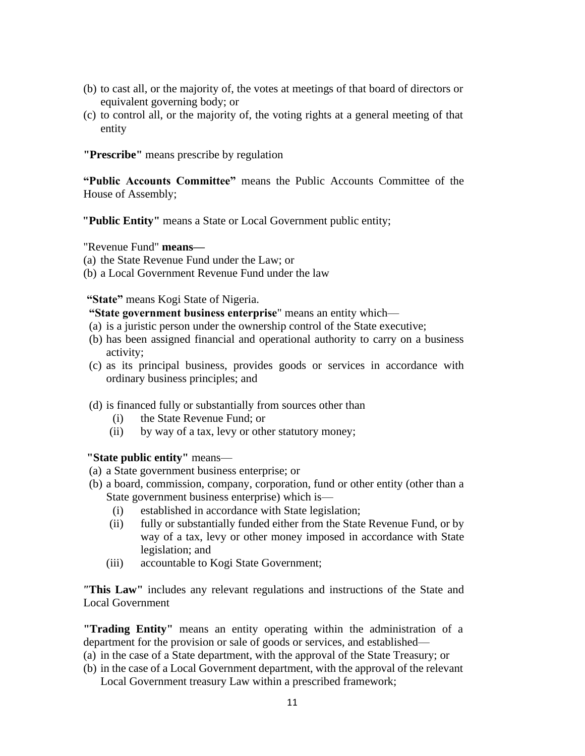- (b) to cast all, or the majority of, the votes at meetings of that board of directors or equivalent governing body; or
- (c) to control all, or the majority of, the voting rights at a general meeting of that entity

**"Prescribe"** means prescribe by regulation

**"Public Accounts Committee"** means the Public Accounts Committee of the House of Assembly;

**"Public Entity"** means a State or Local Government public entity;

"Revenue Fund" **means—**

- (a) the State Revenue Fund under the Law; or
- (b) a Local Government Revenue Fund under the law

**"State"** means Kogi State of Nigeria.

#### **"State government business enterprise**" means an entity which—

- (a) is a juristic person under the ownership control of the State executive;
- (b) has been assigned financial and operational authority to carry on a business activity;
- (c) as its principal business, provides goods or services in accordance with ordinary business principles; and
- (d) is financed fully or substantially from sources other than
	- (i) the State Revenue Fund; or
	- (ii) by way of a tax, levy or other statutory money;

**"State public entity"** means—

- (a) a State government business enterprise; or
- (b) a board, commission, company, corporation, fund or other entity (other than a State government business enterprise) which is—
	- (i) established in accordance with State legislation;
	- (ii) fully or substantially funded either from the State Revenue Fund, or by way of a tax, levy or other money imposed in accordance with State legislation; and
	- (iii) accountable to Kogi State Government;

*"***This Law"** includes any relevant regulations and instructions of the State and Local Government

**"Trading Entity"** means an entity operating within the administration of a department for the provision or sale of goods or services, and established—

- (a) in the case of a State department, with the approval of the State Treasury; or
- (b) in the case of a Local Government department, with the approval of the relevant Local Government treasury Law within a prescribed framework;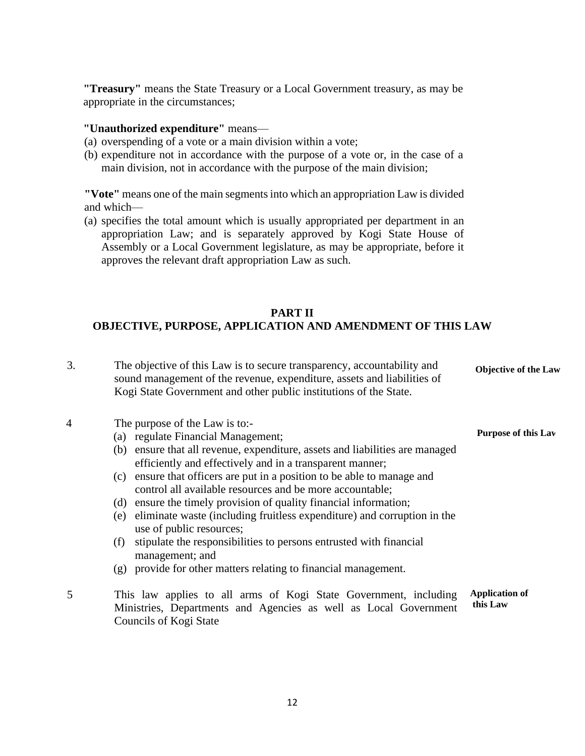**"Treasury"** means the State Treasury or a Local Government treasury, as may be appropriate in the circumstances;

#### **"Unauthorized expenditure"** means—

- (a) overspending of a vote or a main division within a vote;
- (b) expenditure not in accordance with the purpose of a vote or, in the case of a main division, not in accordance with the purpose of the main division;

**"Vote"** means one of the main segments into which an appropriation Law is divided and which—

(a) specifies the total amount which is usually appropriated per department in an appropriation Law; and is separately approved by Kogi State House of Assembly or a Local Government legislature, as may be appropriate, before it approves the relevant draft appropriation Law as such.

#### **PART II**

#### **OBJECTIVE, PURPOSE, APPLICATION AND AMENDMENT OF THIS LAW**

3. The objective of this Law is to secure transparency, accountability and sound management of the revenue, expenditure, assets and liabilities of Kogi State Government and other public institutions of the State. **Objective of the Law**

**Purpose of this Law**

- 4 The purpose of the Law is to:-
	- (a) regulate Financial Management;
	- (b) ensure that all revenue, expenditure, assets and liabilities are managed efficiently and effectively and in a transparent manner;
	- (c) ensure that officers are put in a position to be able to manage and control all available resources and be more accountable;
	- (d) ensure the timely provision of quality financial information;
	- (e) eliminate waste (including fruitless expenditure) and corruption in the use of public resources;
	- (f) stipulate the responsibilities to persons entrusted with financial management; and
	- (g) provide for other matters relating to financial management.
- 5 This law applies to all arms of Kogi State Government, including Ministries, Departments and Agencies as well as Local Government Councils of Kogi State **Application of this Law**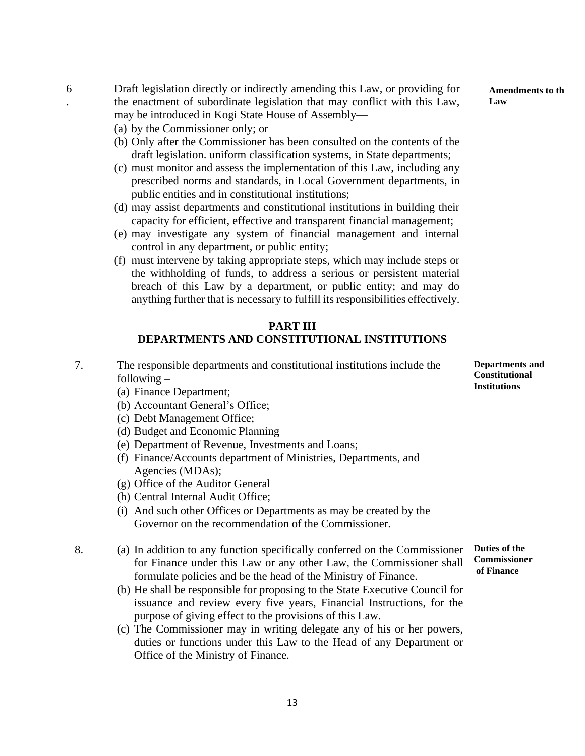(e) may investigate any system of financial management and internal control in any department, or public entity; (f) must intervene by taking appropriate steps, which may include steps or

the withholding of funds, to address a serious or persistent material breach of this Law by a department, or public entity; and may do anything further that is necessary to fulfill its responsibilities effectively.

Draft legislation directly or indirectly amending this Law, or providing for the enactment of subordinate legislation that may conflict with this Law,

(b) Only after the Commissioner has been consulted on the contents of the draft legislation. uniform classification systems, in State departments; (c) must monitor and assess the implementation of this Law, including any prescribed norms and standards, in Local Government departments, in

(d) may assist departments and constitutional institutions in building their capacity for efficient, effective and transparent financial management;

may be introduced in Kogi State House of Assembly—

public entities and in constitutional institutions;

(a) by the Commissioner only; or

#### **PART III DEPARTMENTS AND CONSTITUTIONAL INSTITUTIONS**

- 7. The responsible departments and constitutional institutions include the following –
	- (a) Finance Department;

6 .

- (b) Accountant General's Office;
- (c) Debt Management Office;
- (d) Budget and Economic Planning
- (e) Department of Revenue, Investments and Loans;
- (f) Finance/Accounts department of Ministries, Departments, and Agencies (MDAs);
- (g) Office of the Auditor General
- (h) Central Internal Audit Office;
- (i) And such other Offices or Departments as may be created by the Governor on the recommendation of the Commissioner.
- 8. (a) In addition to any function specifically conferred on the Commissioner for Finance under this Law or any other Law, the Commissioner shall formulate policies and be the head of the Ministry of Finance. **Duties of the Commissioner**
	- (b) He shall be responsible for proposing to the State Executive Council for issuance and review every five years, Financial Instructions, for the purpose of giving effect to the provisions of this Law.
	- (c) The Commissioner may in writing delegate any of his or her powers, duties or functions under this Law to the Head of any Department or Office of the Ministry of Finance.

**Departments and Constitutional Institutions**

**Amendments to the Law**

**of Finance**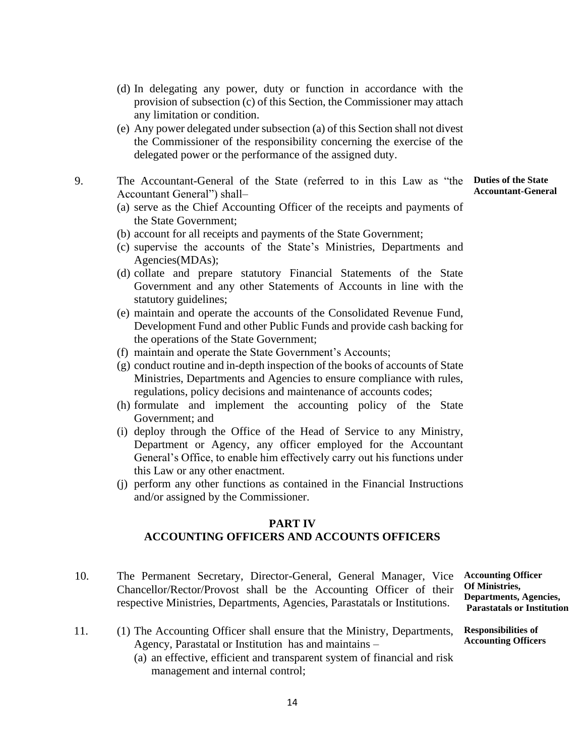- (d) In delegating any power, duty or function in accordance with the provision of subsection (c) of this Section, the Commissioner may attach any limitation or condition.
- (e) Any power delegated under subsection (a) of this Section shall not divest the Commissioner of the responsibility concerning the exercise of the delegated power or the performance of the assigned duty.
- 9. The Accountant-General of the State (referred to in this Law as "the **Duties of the State**  Accountant General") shall–
	- (a) serve as the Chief Accounting Officer of the receipts and payments of the State Government;
	- (b) account for all receipts and payments of the State Government;
	- (c) supervise the accounts of the State's Ministries, Departments and Agencies(MDAs);
	- (d) collate and prepare statutory Financial Statements of the State Government and any other Statements of Accounts in line with the statutory guidelines;
	- (e) maintain and operate the accounts of the Consolidated Revenue Fund, Development Fund and other Public Funds and provide cash backing for the operations of the State Government;
	- (f) maintain and operate the State Government's Accounts;
	- (g) conduct routine and in-depth inspection of the books of accounts of State Ministries, Departments and Agencies to ensure compliance with rules, regulations, policy decisions and maintenance of accounts codes;
	- (h) formulate and implement the accounting policy of the State Government; and
	- (i) deploy through the Office of the Head of Service to any Ministry, Department or Agency, any officer employed for the Accountant General's Office, to enable him effectively carry out his functions under this Law or any other enactment.
	- (j) perform any other functions as contained in the Financial Instructions and/or assigned by the Commissioner.

#### **PART IV ACCOUNTING OFFICERS AND ACCOUNTS OFFICERS**

- 10. The Permanent Secretary, Director-General, General Manager, Vice Chancellor/Rector/Provost shall be the Accounting Officer of their respective Ministries, Departments, Agencies, Parastatals or Institutions.
- 11. (1) The Accounting Officer shall ensure that the Ministry, Departments, Agency, Parastatal or Institution has and maintains –
	- (a) an effective, efficient and transparent system of financial and risk management and internal control;

**Accounting Officer Of Ministries, Departments, Agencies, Parastatals or Institution** 

**Responsibilities of Accounting Officers**

**Accountant-General**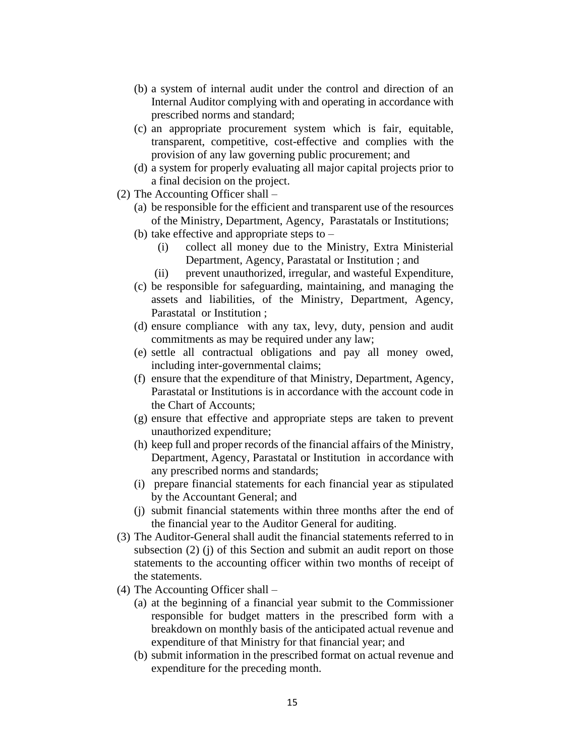- (b) a system of internal audit under the control and direction of an Internal Auditor complying with and operating in accordance with prescribed norms and standard;
- (c) an appropriate procurement system which is fair, equitable, transparent, competitive, cost-effective and complies with the provision of any law governing public procurement; and
- (d) a system for properly evaluating all major capital projects prior to a final decision on the project.
- (2) The Accounting Officer shall
	- (a) be responsible for the efficient and transparent use of the resources of the Ministry, Department, Agency, Parastatals or Institutions;
	- (b) take effective and appropriate steps to
		- (i) collect all money due to the Ministry, Extra Ministerial Department, Agency, Parastatal or Institution ; and
		- (ii) prevent unauthorized, irregular, and wasteful Expenditure,
	- (c) be responsible for safeguarding, maintaining, and managing the assets and liabilities, of the Ministry, Department, Agency, Parastatal or Institution ;
	- (d) ensure compliance with any tax, levy, duty, pension and audit commitments as may be required under any law;
	- (e) settle all contractual obligations and pay all money owed, including inter-governmental claims;
	- (f) ensure that the expenditure of that Ministry, Department, Agency, Parastatal or Institutions is in accordance with the account code in the Chart of Accounts;
	- (g) ensure that effective and appropriate steps are taken to prevent unauthorized expenditure;
	- (h) keep full and proper records of the financial affairs of the Ministry, Department, Agency, Parastatal or Institution in accordance with any prescribed norms and standards;
	- (i) prepare financial statements for each financial year as stipulated by the Accountant General; and
	- (j) submit financial statements within three months after the end of the financial year to the Auditor General for auditing.
- (3) The Auditor-General shall audit the financial statements referred to in subsection (2) (j) of this Section and submit an audit report on those statements to the accounting officer within two months of receipt of the statements.
- (4) The Accounting Officer shall
	- (a) at the beginning of a financial year submit to the Commissioner responsible for budget matters in the prescribed form with a breakdown on monthly basis of the anticipated actual revenue and expenditure of that Ministry for that financial year; and
	- (b) submit information in the prescribed format on actual revenue and expenditure for the preceding month.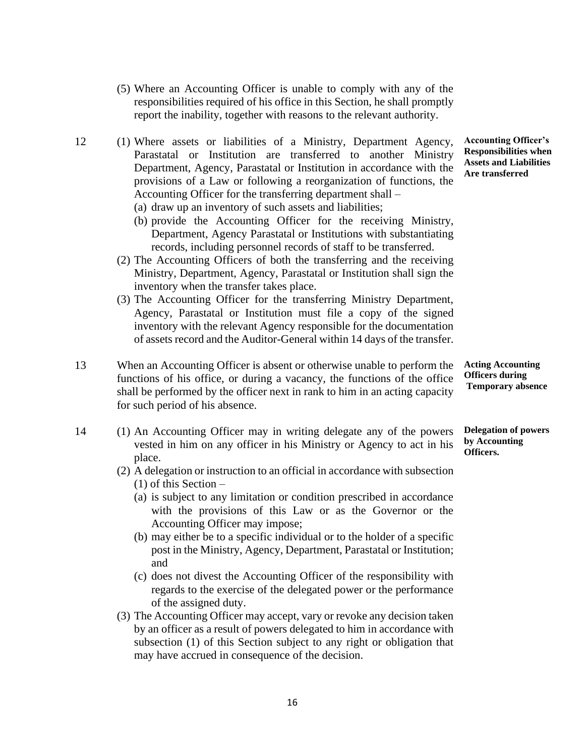- (5) Where an Accounting Officer is unable to comply with any of the responsibilities required of his office in this Section, he shall promptly report the inability, together with reasons to the relevant authority.
- 12 (1) Where assets or liabilities of a Ministry, Department Agency, Parastatal or Institution are transferred to another Ministry Department, Agency, Parastatal or Institution in accordance with the provisions of a Law or following a reorganization of functions, the Accounting Officer for the transferring department shall –
	- (a) draw up an inventory of such assets and liabilities;
	- (b) provide the Accounting Officer for the receiving Ministry, Department, Agency Parastatal or Institutions with substantiating records, including personnel records of staff to be transferred.
	- (2) The Accounting Officers of both the transferring and the receiving Ministry, Department, Agency, Parastatal or Institution shall sign the inventory when the transfer takes place.
	- (3) The Accounting Officer for the transferring Ministry Department, Agency, Parastatal or Institution must file a copy of the signed inventory with the relevant Agency responsible for the documentation of assets record and the Auditor-General within 14 days of the transfer.
- 13 When an Accounting Officer is absent or otherwise unable to perform the functions of his office, or during a vacancy, the functions of the office shall be performed by the officer next in rank to him in an acting capacity for such period of his absence.
- 14 (1) An Accounting Officer may in writing delegate any of the powers vested in him on any officer in his Ministry or Agency to act in his place.
	- (2) A delegation or instruction to an official in accordance with subsection (1) of this Section –
		- (a) is subject to any limitation or condition prescribed in accordance with the provisions of this Law or as the Governor or the Accounting Officer may impose;
		- (b) may either be to a specific individual or to the holder of a specific post in the Ministry, Agency, Department, Parastatal or Institution; and
		- (c) does not divest the Accounting Officer of the responsibility with regards to the exercise of the delegated power or the performance of the assigned duty.
	- (3) The Accounting Officer may accept, vary or revoke any decision taken by an officer as a result of powers delegated to him in accordance with subsection (1) of this Section subject to any right or obligation that may have accrued in consequence of the decision.

**Acting Accounting Officers during Temporary absence**

**Delegation of powers by Accounting Officers.**

**Accounting Officer's Responsibilities when Assets and Liabilities Are transferred**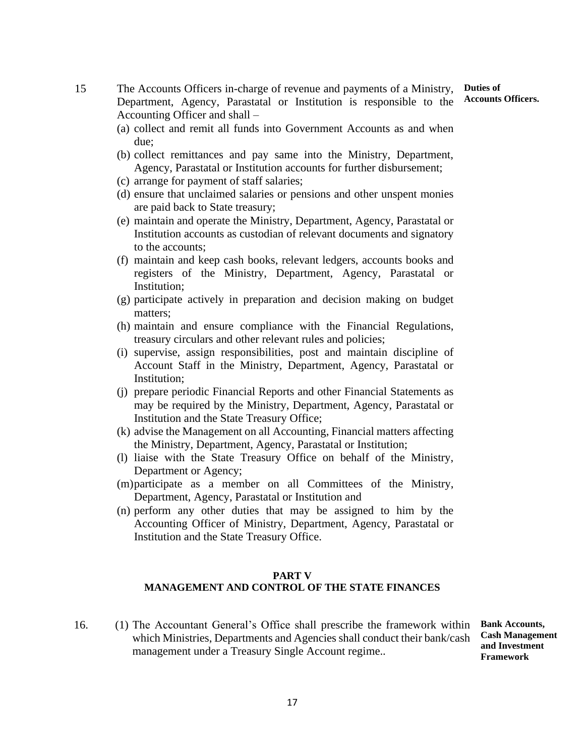**Duties of Accounts Officers.**

15 The Accounts Officers in-charge of revenue and payments of a Ministry, Department, Agency, Parastatal or Institution is responsible to the Accounting Officer and shall –

- (a) collect and remit all funds into Government Accounts as and when due;
- (b) collect remittances and pay same into the Ministry, Department, Agency, Parastatal or Institution accounts for further disbursement;
- (c) arrange for payment of staff salaries;
- (d) ensure that unclaimed salaries or pensions and other unspent monies are paid back to State treasury;
- (e) maintain and operate the Ministry, Department, Agency, Parastatal or Institution accounts as custodian of relevant documents and signatory to the accounts;
- (f) maintain and keep cash books, relevant ledgers, accounts books and registers of the Ministry, Department, Agency, Parastatal or Institution;
- (g) participate actively in preparation and decision making on budget matters;
- (h) maintain and ensure compliance with the Financial Regulations, treasury circulars and other relevant rules and policies;
- (i) supervise, assign responsibilities, post and maintain discipline of Account Staff in the Ministry, Department, Agency, Parastatal or Institution;
- (j) prepare periodic Financial Reports and other Financial Statements as may be required by the Ministry, Department, Agency, Parastatal or Institution and the State Treasury Office;
- (k) advise the Management on all Accounting, Financial matters affecting the Ministry, Department, Agency, Parastatal or Institution;
- (l) liaise with the State Treasury Office on behalf of the Ministry, Department or Agency;
- (m)participate as a member on all Committees of the Ministry, Department, Agency, Parastatal or Institution and
- (n) perform any other duties that may be assigned to him by the Accounting Officer of Ministry, Department, Agency, Parastatal or Institution and the State Treasury Office.

#### **PART V**

#### **MANAGEMENT AND CONTROL OF THE STATE FINANCES**

16. (1) The Accountant General's Office shall prescribe the framework within which Ministries, Departments and Agencies shall conduct their bank/cash management under a Treasury Single Account regime..

**Bank Accounts, Cash Management and Investment Framework**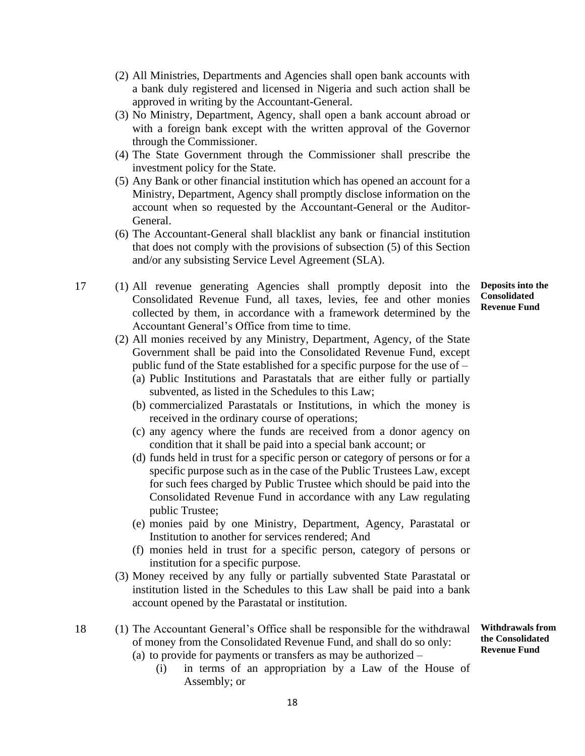- (2) All Ministries, Departments and Agencies shall open bank accounts with a bank duly registered and licensed in Nigeria and such action shall be approved in writing by the Accountant-General.
- (3) No Ministry, Department, Agency, shall open a bank account abroad or with a foreign bank except with the written approval of the Governor through the Commissioner.
- (4) The State Government through the Commissioner shall prescribe the investment policy for the State.
- (5) Any Bank or other financial institution which has opened an account for a Ministry, Department, Agency shall promptly disclose information on the account when so requested by the Accountant-General or the Auditor-General.
- (6) The Accountant-General shall blacklist any bank or financial institution that does not comply with the provisions of subsection (5) of this Section and/or any subsisting Service Level Agreement (SLA).
- 17 (1) All revenue generating Agencies shall promptly deposit into the Consolidated Revenue Fund, all taxes, levies, fee and other monies collected by them, in accordance with a framework determined by the Accountant General's Office from time to time.
	- (2) All monies received by any Ministry, Department, Agency, of the State Government shall be paid into the Consolidated Revenue Fund, except public fund of the State established for a specific purpose for the use of –
		- (a) Public Institutions and Parastatals that are either fully or partially subvented, as listed in the Schedules to this Law;
		- (b) commercialized Parastatals or Institutions, in which the money is received in the ordinary course of operations;
		- (c) any agency where the funds are received from a donor agency on condition that it shall be paid into a special bank account; or
		- (d) funds held in trust for a specific person or category of persons or for a specific purpose such as in the case of the Public Trustees Law, except for such fees charged by Public Trustee which should be paid into the Consolidated Revenue Fund in accordance with any Law regulating public Trustee;
		- (e) monies paid by one Ministry, Department, Agency, Parastatal or Institution to another for services rendered; And
		- (f) monies held in trust for a specific person, category of persons or institution for a specific purpose.
	- (3) Money received by any fully or partially subvented State Parastatal or institution listed in the Schedules to this Law shall be paid into a bank account opened by the Parastatal or institution.
- 18 (1) The Accountant General's Office shall be responsible for the withdrawal of money from the Consolidated Revenue Fund, and shall do so only: (a) to provide for payments or transfers as may be authorized – **Withdrawals from the Consolidated Revenue Fund**
	- (i) in terms of an appropriation by a Law of the House of Assembly; or

**Deposits into the Consolidated Revenue Fund**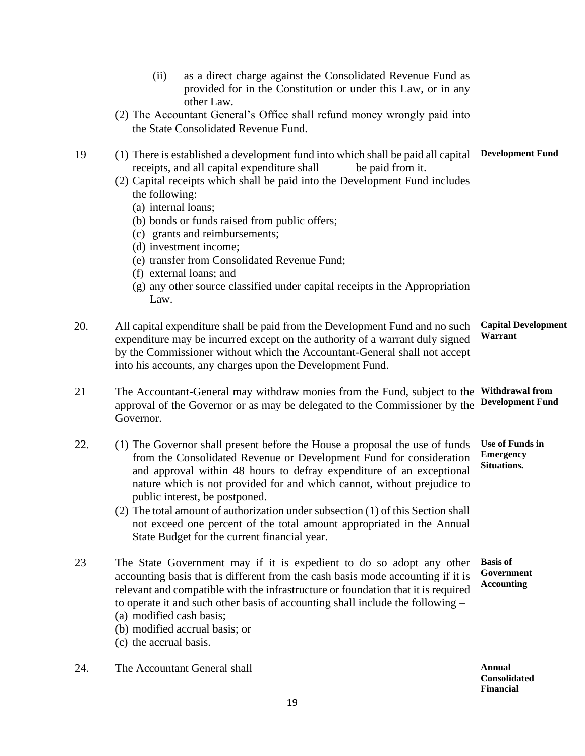- (ii) as a direct charge against the Consolidated Revenue Fund as provided for in the Constitution or under this Law, or in any other Law.
- (2) The Accountant General's Office shall refund money wrongly paid into the State Consolidated Revenue Fund.
- 19 (1) There is established a development fund into which shall be paid all capital **Development Fund** receipts, and all capital expenditure shall be paid from it.
	- (2) Capital receipts which shall be paid into the Development Fund includes the following:
		- (a) internal loans;
		- (b) bonds or funds raised from public offers;
		- (c) grants and reimbursements;
		- (d) investment income;
		- (e) transfer from Consolidated Revenue Fund;
		- (f) external loans; and
		- (g) any other source classified under capital receipts in the Appropriation Law.
- 20. All capital expenditure shall be paid from the Development Fund and no such expenditure may be incurred except on the authority of a warrant duly signed by the Commissioner without which the Accountant-General shall not accept into his accounts, any charges upon the Development Fund. **Capital Development Warrant**
- 21 The Accountant-General may withdraw monies from the Fund, subject to the **Withdrawal from** approval of the Governor or as may be delegated to the Commissioner by the Governor. **Development Fund**
- 22. (1) The Governor shall present before the House a proposal the use of funds from the Consolidated Revenue or Development Fund for consideration and approval within 48 hours to defray expenditure of an exceptional nature which is not provided for and which cannot, without prejudice to public interest, be postponed. **Use of Funds in Emergency Situations.**
	- (2) The total amount of authorization under subsection (1) of this Section shall not exceed one percent of the total amount appropriated in the Annual State Budget for the current financial year.
- 23 The State Government may if it is expedient to do so adopt any other accounting basis that is different from the cash basis mode accounting if it is relevant and compatible with the infrastructure or foundation that it is required to operate it and such other basis of accounting shall include the following – **Basis of Government Accounting**
	- (a) modified cash basis;
	- (b) modified accrual basis; or
	- (c) the accrual basis.
- 24. The Accountant General shall **Annual**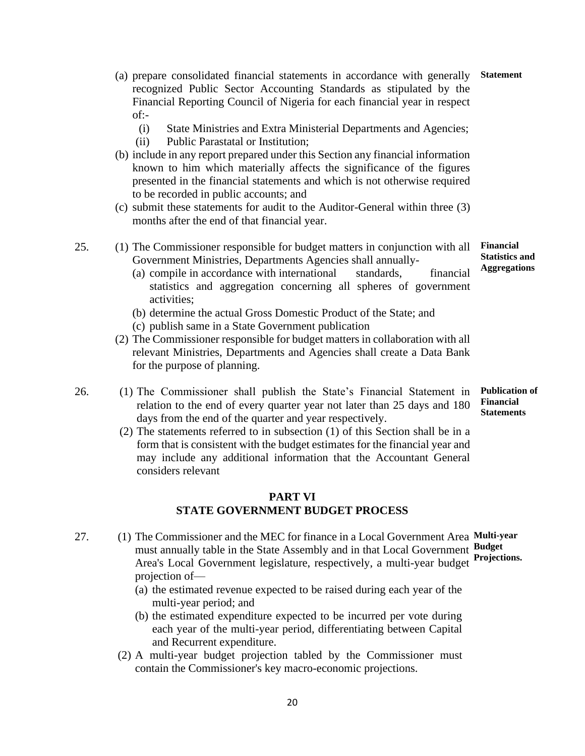- (a) prepare consolidated financial statements in accordance with generally recognized Public Sector Accounting Standards as stipulated by the Financial Reporting Council of Nigeria for each financial year in respect of:-
	- (i) State Ministries and Extra Ministerial Departments and Agencies;
	- (ii) Public Parastatal or Institution;
- (b) include in any report prepared under this Section any financial information known to him which materially affects the significance of the figures presented in the financial statements and which is not otherwise required to be recorded in public accounts; and
- (c) submit these statements for audit to the Auditor-General within three (3) months after the end of that financial year.
- 25. (1) The Commissioner responsible for budget matters in conjunction with all Government Ministries, Departments Agencies shall annually-
	- (a) compile in accordance with international standards, financial statistics and aggregation concerning all spheres of government activities;
	- (b) determine the actual Gross Domestic Product of the State; and
	- (c) publish same in a State Government publication
	- (2) The Commissioner responsible for budget matters in collaboration with all relevant Ministries, Departments and Agencies shall create a Data Bank for the purpose of planning.
- 26. (1) The Commissioner shall publish the State's Financial Statement in relation to the end of every quarter year not later than 25 days and 180 days from the end of the quarter and year respectively.
	- (2) The statements referred to in subsection (1) of this Section shall be in a form that is consistent with the budget estimates for the financial year and may include any additional information that the Accountant General considers relevant

#### **PART VI STATE GOVERNMENT BUDGET PROCESS**

- 27. (1) The Commissioner and the MEC for finance in a Local Government Area **Multi-year** must annually table in the State Assembly and in that Local Government **Budget** Area's Local Government legislature, respectively, a multi-year budget **Projections.**projection of—
	- (a) the estimated revenue expected to be raised during each year of the multi-year period; and
	- (b) the estimated expenditure expected to be incurred per vote during each year of the multi-year period, differentiating between Capital and Recurrent expenditure.
	- (2) A multi-year budget projection tabled by the Commissioner must contain the Commissioner's key macro-economic projections.

20

**Financial Statistics and Aggregations**

**Publication of Financial Statements**

**Statement**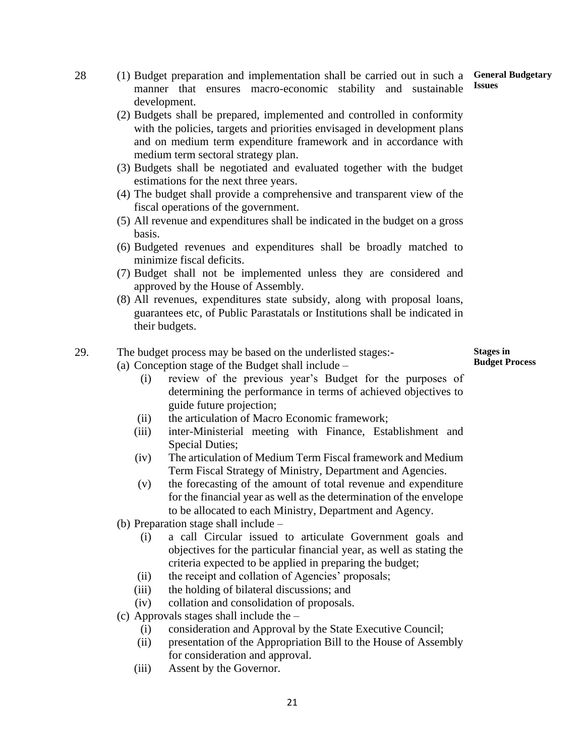- 28 (1) Budget preparation and implementation shall be carried out in such a **General Budgetary** manner that ensures macro-economic stability and sustainable development. **Issues**
	- (2) Budgets shall be prepared, implemented and controlled in conformity with the policies, targets and priorities envisaged in development plans and on medium term expenditure framework and in accordance with medium term sectoral strategy plan.
	- (3) Budgets shall be negotiated and evaluated together with the budget estimations for the next three years.
	- (4) The budget shall provide a comprehensive and transparent view of the fiscal operations of the government.
	- (5) All revenue and expenditures shall be indicated in the budget on a gross basis.
	- (6) Budgeted revenues and expenditures shall be broadly matched to minimize fiscal deficits.
	- (7) Budget shall not be implemented unless they are considered and approved by the House of Assembly.
	- (8) All revenues, expenditures state subsidy, along with proposal loans, guarantees etc, of Public Parastatals or Institutions shall be indicated in their budgets.

#### 29. The budget process may be based on the underlisted stages:-

- (a) Conception stage of the Budget shall include
	- (i) review of the previous year's Budget for the purposes of determining the performance in terms of achieved objectives to guide future projection;
	- (ii) the articulation of Macro Economic framework;
	- (iii) inter-Ministerial meeting with Finance, Establishment and Special Duties;
	- (iv) The articulation of Medium Term Fiscal framework and Medium Term Fiscal Strategy of Ministry, Department and Agencies.
	- (v) the forecasting of the amount of total revenue and expenditure for the financial year as well as the determination of the envelope to be allocated to each Ministry, Department and Agency.
- (b) Preparation stage shall include
	- (i) a call Circular issued to articulate Government goals and objectives for the particular financial year, as well as stating the criteria expected to be applied in preparing the budget;
	- (ii) the receipt and collation of Agencies' proposals;
	- (iii) the holding of bilateral discussions; and
	- (iv) collation and consolidation of proposals.
- (c) Approvals stages shall include the
	- (i) consideration and Approval by the State Executive Council;
	- (ii) presentation of the Appropriation Bill to the House of Assembly for consideration and approval.
	- (iii) Assent by the Governor.

**Stages in Budget Process**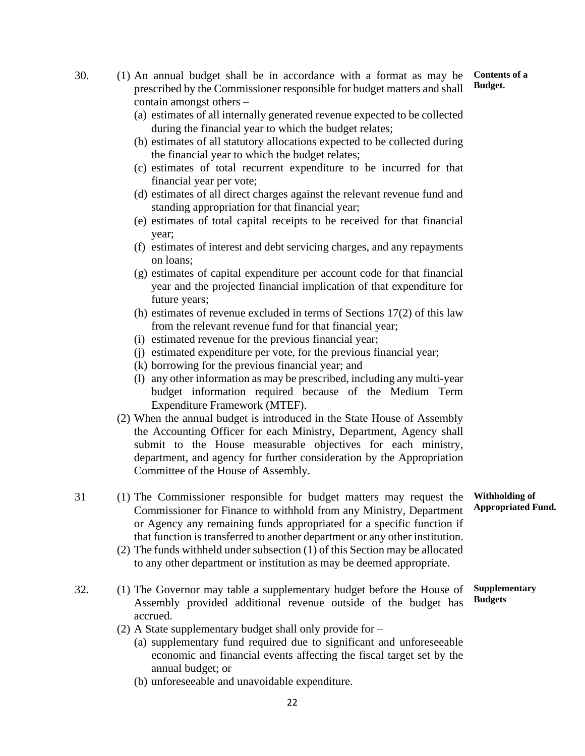- 30. (1) An annual budget shall be in accordance with a format as may be prescribed by the Commissioner responsible for budget matters and shall contain amongst others – **Budget.**
	- (a) estimates of all internally generated revenue expected to be collected during the financial year to which the budget relates;
	- (b) estimates of all statutory allocations expected to be collected during the financial year to which the budget relates;
	- (c) estimates of total recurrent expenditure to be incurred for that financial year per vote;
	- (d) estimates of all direct charges against the relevant revenue fund and standing appropriation for that financial year;
	- (e) estimates of total capital receipts to be received for that financial year;
	- (f) estimates of interest and debt servicing charges, and any repayments on loans;
	- (g) estimates of capital expenditure per account code for that financial year and the projected financial implication of that expenditure for future years;
	- (h) estimates of revenue excluded in terms of Sections 17(2) of this law from the relevant revenue fund for that financial year;
	- (i) estimated revenue for the previous financial year;
	- (j) estimated expenditure per vote, for the previous financial year;
	- (k) borrowing for the previous financial year; and
	- (l) any other information as may be prescribed, including any multi-year budget information required because of the Medium Term Expenditure Framework (MTEF).
	- (2) When the annual budget is introduced in the State House of Assembly the Accounting Officer for each Ministry, Department, Agency shall submit to the House measurable objectives for each ministry, department, and agency for further consideration by the Appropriation Committee of the House of Assembly.

31 (1) The Commissioner responsible for budget matters may request the Commissioner for Finance to withhold from any Ministry, Department or Agency any remaining funds appropriated for a specific function if that function is transferred to another department or any other institution.

- (2) The funds withheld under subsection (1) of this Section may be allocated to any other department or institution as may be deemed appropriate.
- 32. (1) The Governor may table a supplementary budget before the House of Assembly provided additional revenue outside of the budget has accrued. **Supplementary Budgets**
	- (2) A State supplementary budget shall only provide for
		- (a) supplementary fund required due to significant and unforeseeable economic and financial events affecting the fiscal target set by the annual budget; or
		- (b) unforeseeable and unavoidable expenditure.

**Withholding of Appropriated Fund.**

**Contents of a**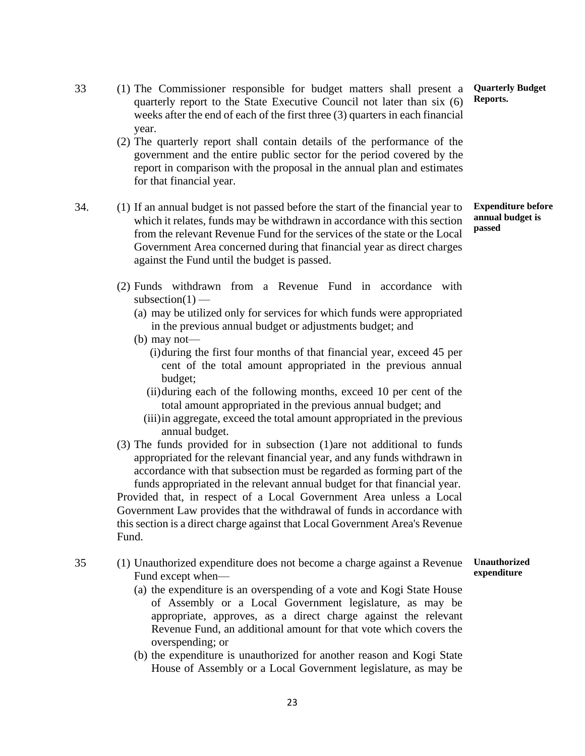- 33 (1) The Commissioner responsible for budget matters shall present a quarterly report to the State Executive Council not later than six (6) weeks after the end of each of the first three (3) quarters in each financial year.
	- (2) The quarterly report shall contain details of the performance of the government and the entire public sector for the period covered by the report in comparison with the proposal in the annual plan and estimates for that financial year.
- 34. (1) If an annual budget is not passed before the start of the financial year to which it relates, funds may be withdrawn in accordance with this section from the relevant Revenue Fund for the services of the state or the Local Government Area concerned during that financial year as direct charges against the Fund until the budget is passed.

**Expenditure before annual budget is passed**

**Quarterly Budget**

**Reports.**

- (2) Funds withdrawn from a Revenue Fund in accordance with  $subsection(1)$  —
	- (a) may be utilized only for services for which funds were appropriated in the previous annual budget or adjustments budget; and
	- (b) may not—
		- (i)during the first four months of that financial year, exceed 45 per cent of the total amount appropriated in the previous annual budget;
		- (ii)during each of the following months, exceed 10 per cent of the total amount appropriated in the previous annual budget; and
		- (iii)in aggregate, exceed the total amount appropriated in the previous annual budget.
- (3) The funds provided for in subsection (1)are not additional to funds appropriated for the relevant financial year, and any funds withdrawn in accordance with that subsection must be regarded as forming part of the funds appropriated in the relevant annual budget for that financial year. Provided that, in respect of a Local Government Area unless a Local Government Law provides that the withdrawal of funds in accordance with this section is a direct charge against that Local Government Area's Revenue Fund.
- 35 (1) Unauthorized expenditure does not become a charge against a Revenue Fund except when— **Unauthorized expenditure**
	- (a) the expenditure is an overspending of a vote and Kogi State House of Assembly or a Local Government legislature, as may be appropriate, approves, as a direct charge against the relevant Revenue Fund, an additional amount for that vote which covers the overspending; or
	- (b) the expenditure is unauthorized for another reason and Kogi State House of Assembly or a Local Government legislature, as may be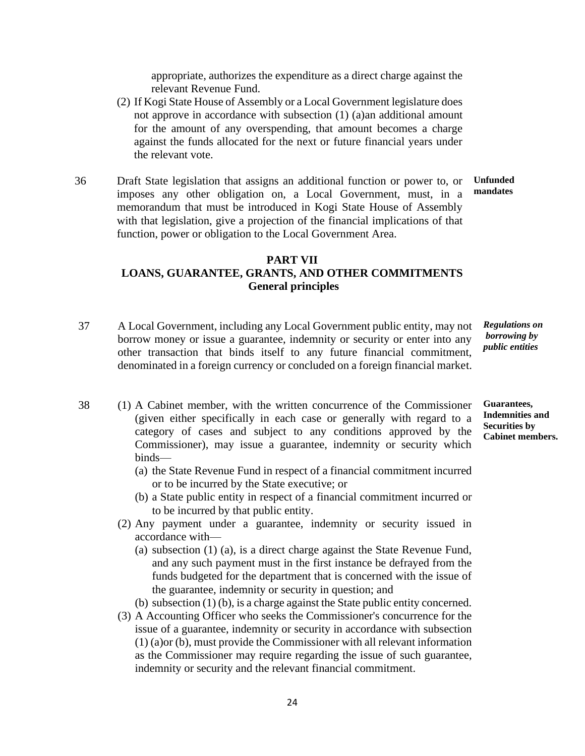appropriate, authorizes the expenditure as a direct charge against the relevant Revenue Fund.

- (2) If Kogi State House of Assembly or a Local Government legislature does not approve in accordance with subsection (1) (a)an additional amount for the amount of any overspending, that amount becomes a charge against the funds allocated for the next or future financial years under the relevant vote.
- 36 Draft State legislation that assigns an additional function or power to, or imposes any other obligation on, a Local Government, must, in a memorandum that must be introduced in Kogi State House of Assembly with that legislation, give a projection of the financial implications of that function, power or obligation to the Local Government Area. **Unfunded mandates**

#### **PART VII LOANS, GUARANTEE, GRANTS, AND OTHER COMMITMENTS General principles**

37 A Local Government, including any Local Government public entity, may not borrow money or issue a guarantee, indemnity or security or enter into any other transaction that binds itself to any future financial commitment, denominated in a foreign currency or concluded on a foreign financial market.

*Regulations on borrowing by public entities*

- 38 (1) A Cabinet member, with the written concurrence of the Commissioner (given either specifically in each case or generally with regard to a category of cases and subject to any conditions approved by the Commissioner), may issue a guarantee, indemnity or security which binds— **Guarantees, Indemnities and Securities by Cabinet members.**
	- (a) the State Revenue Fund in respect of a financial commitment incurred or to be incurred by the State executive; or
	- (b) a State public entity in respect of a financial commitment incurred or to be incurred by that public entity.
	- (2) Any payment under a guarantee, indemnity or security issued in accordance with—
		- (a) subsection (1) (a), is a direct charge against the State Revenue Fund, and any such payment must in the first instance be defrayed from the funds budgeted for the department that is concerned with the issue of the guarantee, indemnity or security in question; and

(b) subsection (1) (b), is a charge against the State public entity concerned.

(3) A Accounting Officer who seeks the Commissioner's concurrence for the issue of a guarantee, indemnity or security in accordance with subsection (1) (a)or (b), must provide the Commissioner with all relevant information as the Commissioner may require regarding the issue of such guarantee, indemnity or security and the relevant financial commitment.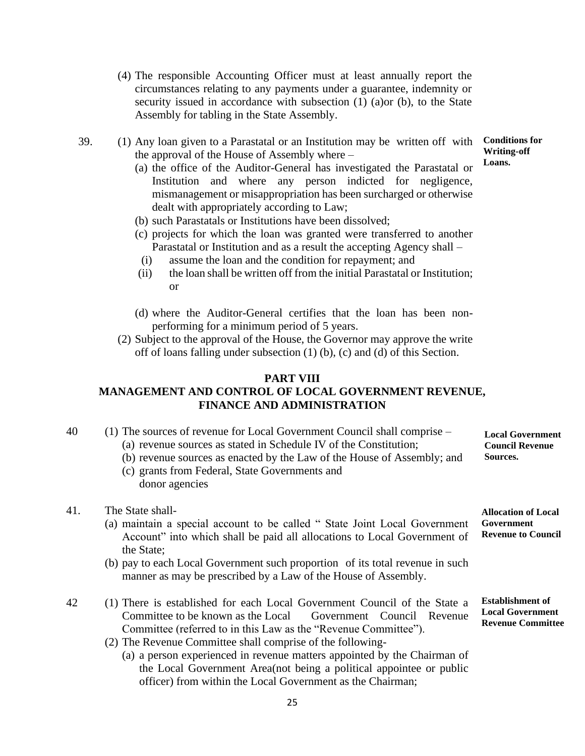- (4) The responsible Accounting Officer must at least annually report the circumstances relating to any payments under a guarantee, indemnity or security issued in accordance with subsection (1) (a)or (b), to the State Assembly for tabling in the State Assembly.
- 39. (1) Any loan given to a Parastatal or an Institution may be written off with the approval of the House of Assembly where –

(a) the office of the Auditor-General has investigated the Parastatal or Institution and where any person indicted for negligence, mismanagement or misappropriation has been surcharged or otherwise dealt with appropriately according to Law;

- (b) such Parastatals or Institutions have been dissolved;
- (c) projects for which the loan was granted were transferred to another Parastatal or Institution and as a result the accepting Agency shall –
	- (i) assume the loan and the condition for repayment; and
- (ii) the loan shall be written off from the initial Parastatal or Institution; or
- (d) where the Auditor-General certifies that the loan has been nonperforming for a minimum period of 5 years.
- (2) Subject to the approval of the House, the Governor may approve the write off of loans falling under subsection (1) (b), (c) and (d) of this Section.

#### **PART VIII**

#### **MANAGEMENT AND CONTROL OF LOCAL GOVERNMENT REVENUE, FINANCE AND ADMINISTRATION**

| 40 | $(1)$ The sources of revenue for Local Government Council shall comprise – | <b>Local Government</b> |
|----|----------------------------------------------------------------------------|-------------------------|
|    | (a) revenue sources as stated in Schedule IV of the Constitution;          | <b>Council Revenue</b>  |
|    | (b) revenue sources as enacted by the Law of the House of Assembly; and    | Sources.                |

(c) grants from Federal, State Governments and donor agencies

#### 41. The State shall-

- (a) maintain a special account to be called " State Joint Local Government Account" into which shall be paid all allocations to Local Government of the State;
- (b) pay to each Local Government such proportion of its total revenue in such manner as may be prescribed by a Law of the House of Assembly.
- 42 (1) There is established for each Local Government Council of the State a Committee to be known as the Local Government Council Revenue Committee (referred to in this Law as the "Revenue Committee").
	- (2) The Revenue Committee shall comprise of the following-
		- (a) a person experienced in revenue matters appointed by the Chairman of the Local Government Area(not being a political appointee or public officer) from within the Local Government as the Chairman;

**Allocation of Local**

**Government Revenue to Council**

**Conditions for Writing-off Loans.**

**Establishment of Local Government Revenue Committee**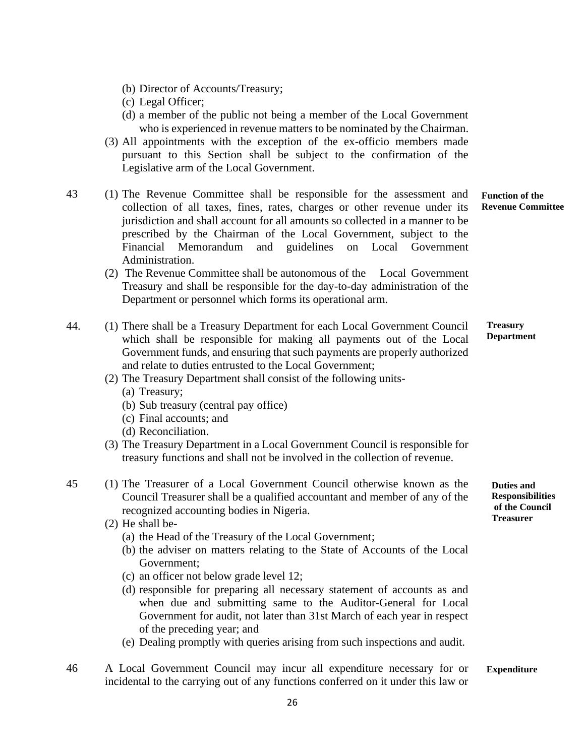- (b) Director of Accounts/Treasury;
- (c) Legal Officer;
- (d) a member of the public not being a member of the Local Government who is experienced in revenue matters to be nominated by the Chairman.
- (3) All appointments with the exception of the ex-officio members made pursuant to this Section shall be subject to the confirmation of the Legislative arm of the Local Government.
- 43 (1) The Revenue Committee shall be responsible for the assessment and collection of all taxes, fines, rates, charges or other revenue under its jurisdiction and shall account for all amounts so collected in a manner to be prescribed by the Chairman of the Local Government, subject to the Financial Memorandum and guidelines on Local Government Administration.
	- (2) The Revenue Committee shall be autonomous of the Local Government Treasury and shall be responsible for the day-to-day administration of the Department or personnel which forms its operational arm.
- 44. (1) There shall be a Treasury Department for each Local Government Council which shall be responsible for making all payments out of the Local Government funds, and ensuring that such payments are properly authorized and relate to duties entrusted to the Local Government; **Treasury** 
	- (2) The Treasury Department shall consist of the following units-
		- (a) Treasury;
		- (b) Sub treasury (central pay office)
		- (c) Final accounts; and
		- (d) Reconciliation.
	- (3) The Treasury Department in a Local Government Council is responsible for treasury functions and shall not be involved in the collection of revenue.
- 45 (1) The Treasurer of a Local Government Council otherwise known as the Council Treasurer shall be a qualified accountant and member of any of the recognized accounting bodies in Nigeria.
	- (2) He shall be-
		- (a) the Head of the Treasury of the Local Government;
		- (b) the adviser on matters relating to the State of Accounts of the Local Government;
		- (c) an officer not below grade level 12;
		- (d) responsible for preparing all necessary statement of accounts as and when due and submitting same to the Auditor-General for Local Government for audit, not later than 31st March of each year in respect of the preceding year; and
		- (e) Dealing promptly with queries arising from such inspections and audit.
- 46 A Local Government Council may incur all expenditure necessary for or incidental to the carrying out of any functions conferred on it under this law or **Expenditure**

**Function of the Revenue Committee**

**Department**

**Duties and Responsibilities of the Council Treasurer**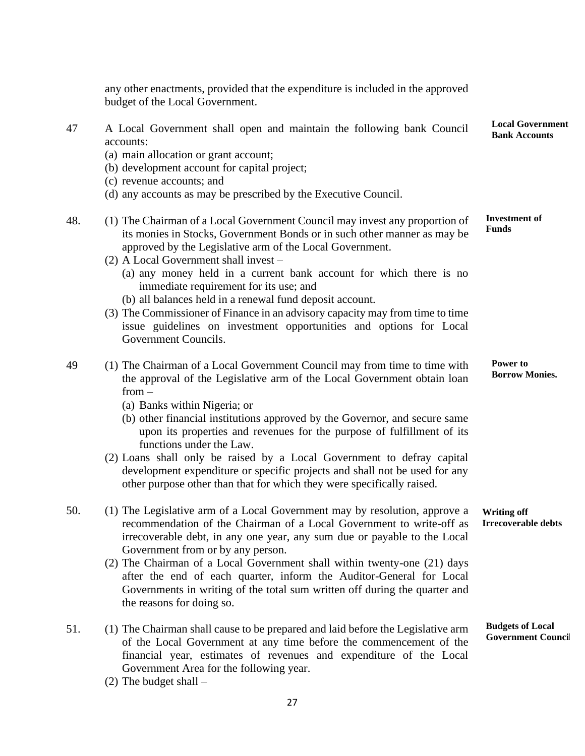any other enactments, provided that the expenditure is included in the approved budget of the Local Government. 47 A Local Government shall open and maintain the following bank Council accounts: (a) main allocation or grant account; (b) development account for capital project; (c) revenue accounts; and **Local Government Bank Accounts**

- (d) any accounts as may be prescribed by the Executive Council.
- 48. (1) The Chairman of a Local Government Council may invest any proportion of its monies in Stocks, Government Bonds or in such other manner as may be approved by the Legislative arm of the Local Government. **Investment of Funds**
	- (2) A Local Government shall invest
		- (a) any money held in a current bank account for which there is no immediate requirement for its use; and
		- (b) all balances held in a renewal fund deposit account.
	- (3) The Commissioner of Finance in an advisory capacity may from time to time issue guidelines on investment opportunities and options for Local Government Councils.
- 49 (1) The Chairman of a Local Government Council may from time to time with the approval of the Legislative arm of the Local Government obtain loan from – **Power to Borrow Monies.**
	- (a) Banks within Nigeria; or
	- (b) other financial institutions approved by the Governor, and secure same upon its properties and revenues for the purpose of fulfillment of its functions under the Law.
	- (2) Loans shall only be raised by a Local Government to defray capital development expenditure or specific projects and shall not be used for any other purpose other than that for which they were specifically raised.
- 50. (1) The Legislative arm of a Local Government may by resolution, approve a recommendation of the Chairman of a Local Government to write-off as irrecoverable debt, in any one year, any sum due or payable to the Local Government from or by any person. **Writing off Irrecoverable debts**
	- (2) The Chairman of a Local Government shall within twenty-one (21) days after the end of each quarter, inform the Auditor-General for Local Governments in writing of the total sum written off during the quarter and the reasons for doing so.
- 51. (1) The Chairman shall cause to be prepared and laid before the Legislative arm of the Local Government at any time before the commencement of the financial year, estimates of revenues and expenditure of the Local Government Area for the following year. **Budgets of Local Government Council;**
	- (2) The budget shall –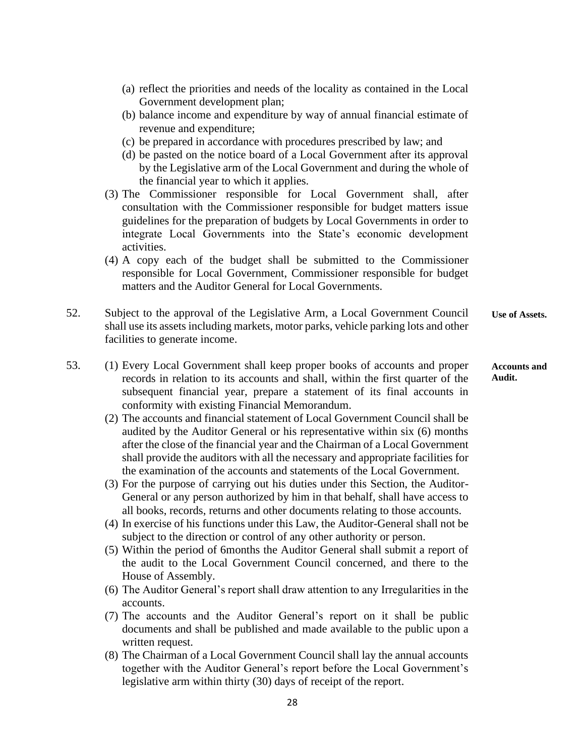- (a) reflect the priorities and needs of the locality as contained in the Local Government development plan; (b) balance income and expenditure by way of annual financial estimate of revenue and expenditure; (c) be prepared in accordance with procedures prescribed by law; and (d) be pasted on the notice board of a Local Government after its approval by the Legislative arm of the Local Government and during the whole of the financial year to which it applies. (3) The Commissioner responsible for Local Government shall, after consultation with the Commissioner responsible for budget matters issue guidelines for the preparation of budgets by Local Governments in order to integrate Local Governments into the State's economic development activities. (4) A copy each of the budget shall be submitted to the Commissioner responsible for Local Government, Commissioner responsible for budget matters and the Auditor General for Local Governments. 52. Subject to the approval of the Legislative Arm, a Local Government Council shall use its assets including markets, motor parks, vehicle parking lots and other facilities to generate income. **Use of Assets.**
- 53. (1) Every Local Government shall keep proper books of accounts and proper records in relation to its accounts and shall, within the first quarter of the subsequent financial year, prepare a statement of its final accounts in conformity with existing Financial Memorandum. **Accounts and Audit.**
	- (2) The accounts and financial statement of Local Government Council shall be audited by the Auditor General or his representative within six (6) months after the close of the financial year and the Chairman of a Local Government shall provide the auditors with all the necessary and appropriate facilities for the examination of the accounts and statements of the Local Government.
	- (3) For the purpose of carrying out his duties under this Section, the Auditor-General or any person authorized by him in that behalf, shall have access to all books, records, returns and other documents relating to those accounts.
	- (4) In exercise of his functions under this Law, the Auditor-General shall not be subject to the direction or control of any other authority or person.
	- (5) Within the period of 6months the Auditor General shall submit a report of the audit to the Local Government Council concerned, and there to the House of Assembly.
	- (6) The Auditor General's report shall draw attention to any Irregularities in the accounts.
	- (7) The accounts and the Auditor General's report on it shall be public documents and shall be published and made available to the public upon a written request.
	- (8) The Chairman of a Local Government Council shall lay the annual accounts together with the Auditor General's report before the Local Government's legislative arm within thirty (30) days of receipt of the report.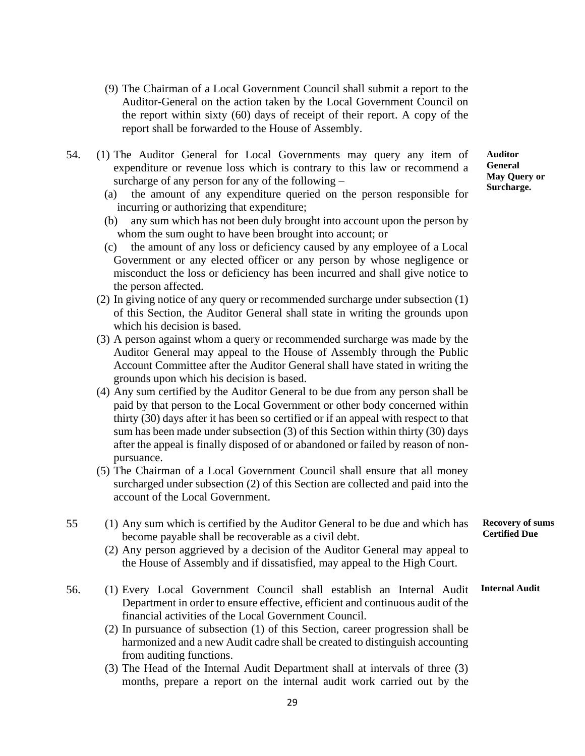- (9) The Chairman of a Local Government Council shall submit a report to the Auditor-General on the action taken by the Local Government Council on the report within sixty (60) days of receipt of their report. A copy of the report shall be forwarded to the House of Assembly.
- 54. (1) The Auditor General for Local Governments may query any item of expenditure or revenue loss which is contrary to this law or recommend a surcharge of any person for any of the following –
	- (a) the amount of any expenditure queried on the person responsible for incurring or authorizing that expenditure;
	- (b) any sum which has not been duly brought into account upon the person by whom the sum ought to have been brought into account; or
	- (c) the amount of any loss or deficiency caused by any employee of a Local Government or any elected officer or any person by whose negligence or misconduct the loss or deficiency has been incurred and shall give notice to the person affected.
	- (2) In giving notice of any query or recommended surcharge under subsection (1) of this Section, the Auditor General shall state in writing the grounds upon which his decision is based.
	- (3) A person against whom a query or recommended surcharge was made by the Auditor General may appeal to the House of Assembly through the Public Account Committee after the Auditor General shall have stated in writing the grounds upon which his decision is based.
	- (4) Any sum certified by the Auditor General to be due from any person shall be paid by that person to the Local Government or other body concerned within thirty (30) days after it has been so certified or if an appeal with respect to that sum has been made under subsection (3) of this Section within thirty (30) days after the appeal is finally disposed of or abandoned or failed by reason of nonpursuance.
	- (5) The Chairman of a Local Government Council shall ensure that all money surcharged under subsection (2) of this Section are collected and paid into the account of the Local Government.
- 55 (1) Any sum which is certified by the Auditor General to be due and which has become payable shall be recoverable as a civil debt.
	- (2) Any person aggrieved by a decision of the Auditor General may appeal to the House of Assembly and if dissatisfied, may appeal to the High Court.
- 56. (1) Every Local Government Council shall establish an Internal Audit Department in order to ensure effective, efficient and continuous audit of the financial activities of the Local Government Council.
	- (2) In pursuance of subsection (1) of this Section, career progression shall be harmonized and a new Audit cadre shall be created to distinguish accounting from auditing functions.
	- (3) The Head of the Internal Audit Department shall at intervals of three (3) months, prepare a report on the internal audit work carried out by the

**Auditor General May Query or Surcharge.**

**Recovery of sums Certified Due**

**Internal Audit**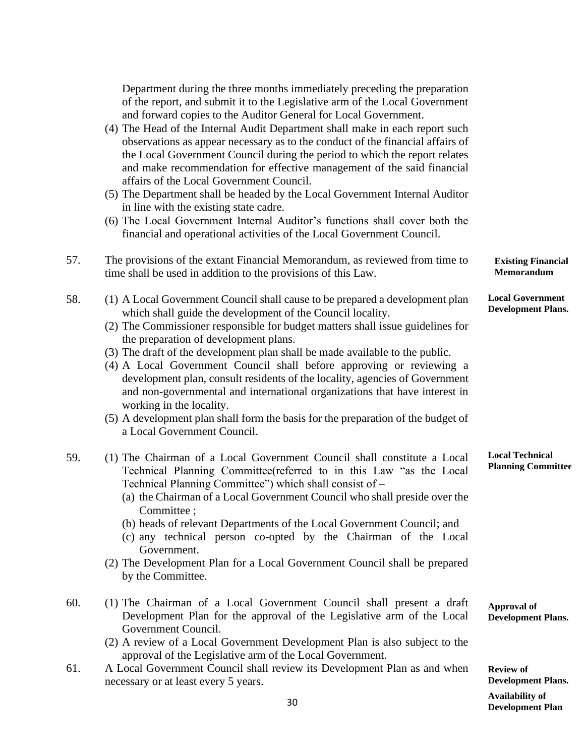|     | Department during the three months immediately preceding the preparation<br>of the report, and submit it to the Legislative arm of the Local Government<br>and forward copies to the Auditor General for Local Government.<br>(4) The Head of the Internal Audit Department shall make in each report such<br>observations as appear necessary as to the conduct of the financial affairs of<br>the Local Government Council during the period to which the report relates<br>and make recommendation for effective management of the said financial<br>affairs of the Local Government Council.<br>(5) The Department shall be headed by the Local Government Internal Auditor<br>in line with the existing state cadre.<br>(6) The Local Government Internal Auditor's functions shall cover both the |                                                      |
|-----|---------------------------------------------------------------------------------------------------------------------------------------------------------------------------------------------------------------------------------------------------------------------------------------------------------------------------------------------------------------------------------------------------------------------------------------------------------------------------------------------------------------------------------------------------------------------------------------------------------------------------------------------------------------------------------------------------------------------------------------------------------------------------------------------------------|------------------------------------------------------|
| 57. | financial and operational activities of the Local Government Council.<br>The provisions of the extant Financial Memorandum, as reviewed from time to<br>time shall be used in addition to the provisions of this Law.                                                                                                                                                                                                                                                                                                                                                                                                                                                                                                                                                                                   | <b>Existing Financial</b><br>Memorandum              |
| 58. | (1) A Local Government Council shall cause to be prepared a development plan<br>which shall guide the development of the Council locality.<br>(2) The Commissioner responsible for budget matters shall issue guidelines for<br>the preparation of development plans.<br>(3) The draft of the development plan shall be made available to the public.<br>(4) A Local Government Council shall before approving or reviewing a<br>development plan, consult residents of the locality, agencies of Government<br>and non-governmental and international organizations that have interest in<br>working in the locality.<br>(5) A development plan shall form the basis for the preparation of the budget of<br>a Local Government Council.                                                               | <b>Local Government</b><br><b>Development Plans.</b> |
| 59. | (1) The Chairman of a Local Government Council shall constitute a Local<br>Technical Planning Committee(referred to in this Law "as the Local<br>Technical Planning Committee") which shall consist of -<br>(a) the Chairman of a Local Government Council who shall preside over the<br>Committee;<br>(b) heads of relevant Departments of the Local Government Council; and<br>(c) any technical person co-opted by the Chairman of the Local<br>Government.<br>(2) The Development Plan for a Local Government Council shall be prepared<br>by the Committee.                                                                                                                                                                                                                                        | <b>Local Technical</b><br><b>Planning Committee</b>  |
| 60. | (1) The Chairman of a Local Government Council shall present a draft<br>Development Plan for the approval of the Legislative arm of the Local<br>Government Council.                                                                                                                                                                                                                                                                                                                                                                                                                                                                                                                                                                                                                                    | <b>Approval of</b><br><b>Development Plans.</b>      |

- (2) A review of a Local Government Development Plan is also subject to the approval of the Legislative arm of the Local Government.
- 61. A Local Government Council shall review its Development Plan as and when necessary or at least every 5 years.

**Review of Development Plans. Development Plan Availability of**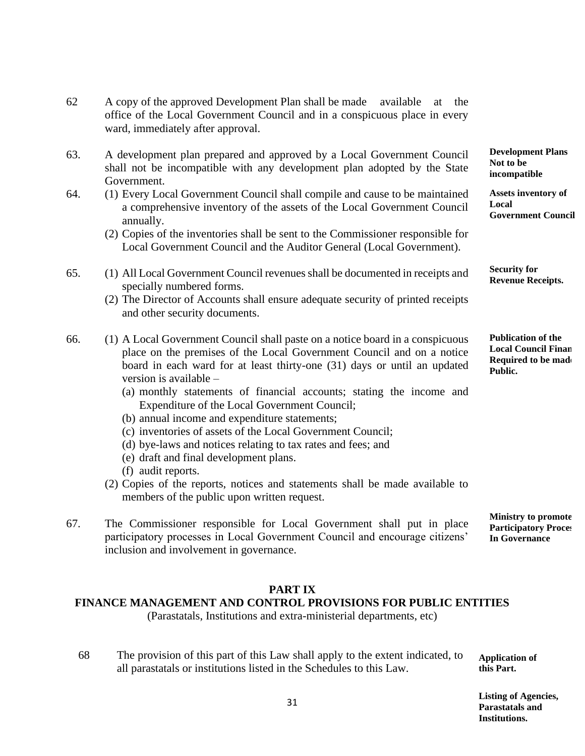- 62 A copy of the approved Development Plan shall be made available at the office of the Local Government Council and in a conspicuous place in every ward, immediately after approval.
- 63. A development plan prepared and approved by a Local Government Council shall not be incompatible with any development plan adopted by the State Government.
- 64. (1) Every Local Government Council shall compile and cause to be maintained a comprehensive inventory of the assets of the Local Government Council annually.
	- (2) Copies of the inventories shall be sent to the Commissioner responsible for Local Government Council and the Auditor General (Local Government).
- 65. (1) All Local Government Council revenues shall be documented in receipts and specially numbered forms.
	- (2) The Director of Accounts shall ensure adequate security of printed receipts and other security documents.
- 66. (1) A Local Government Council shall paste on a notice board in a conspicuous place on the premises of the Local Government Council and on a notice board in each ward for at least thirty-one (31) days or until an updated version is available –
	- (a) monthly statements of financial accounts; stating the income and Expenditure of the Local Government Council;
	- (b) annual income and expenditure statements;
	- (c) inventories of assets of the Local Government Council;
	- (d) bye-laws and notices relating to tax rates and fees; and
	- (e) draft and final development plans.
	- (f) audit reports.
	- (2) Copies of the reports, notices and statements shall be made available to members of the public upon written request.
- 67. The Commissioner responsible for Local Government shall put in place participatory processes in Local Government Council and encourage citizens' inclusion and involvement in governance.

#### **PART IX**

#### **FINANCE MANAGEMENT AND CONTROL PROVISIONS FOR PUBLIC ENTITIES**

(Parastatals, Institutions and extra-ministerial departments, etc)

68 The provision of this part of this Law shall apply to the extent indicated, to all parastatals or institutions listed in the Schedules to this Law. **Application of this Part.**

> **Listing of Agencies, Parastatals and Institutions.**

31

**Development Plans Not to be incompatible**

**Interpretation Assets Inventory of Assets inventory of Local Government Council**

**Security for Revenue Receipts.**

**Publication of the Local Council Finan Required to be made Public.**

**Ministry to promote Participatory Proces In Governance**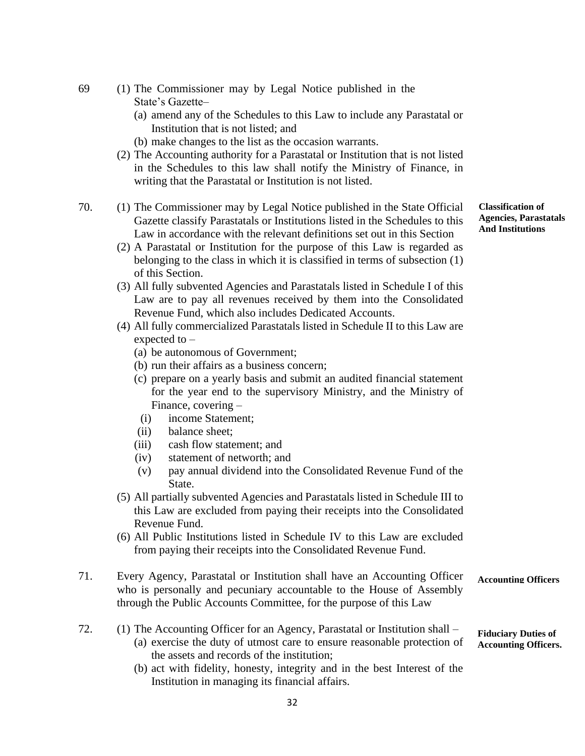- 69 (1) The Commissioner may by Legal Notice published in the State's Gazette–
	- (a) amend any of the Schedules to this Law to include any Parastatal or Institution that is not listed; and
	- (b) make changes to the list as the occasion warrants.
	- (2) The Accounting authority for a Parastatal or Institution that is not listed in the Schedules to this law shall notify the Ministry of Finance, in writing that the Parastatal or Institution is not listed.
- 70. (1) The Commissioner may by Legal Notice published in the State Official Gazette classify Parastatals or Institutions listed in the Schedules to this Law in accordance with the relevant definitions set out in this Section
	- (2) A Parastatal or Institution for the purpose of this Law is regarded as belonging to the class in which it is classified in terms of subsection (1) of this Section.
	- (3) All fully subvented Agencies and Parastatals listed in Schedule I of this Law are to pay all revenues received by them into the Consolidated Revenue Fund, which also includes Dedicated Accounts.
	- (4) All fully commercialized Parastatals listed in Schedule II to this Law are expected to –
		- (a) be autonomous of Government;
		- (b) run their affairs as a business concern;
		- (c) prepare on a yearly basis and submit an audited financial statement for the year end to the supervisory Ministry, and the Ministry of Finance, covering –
		- (i) income Statement;
		- (ii) balance sheet;
		- (iii) cash flow statement; and
		- (iv) statement of networth; and
		- (v) pay annual dividend into the Consolidated Revenue Fund of the State.
	- (5) All partially subvented Agencies and Parastatals listed in Schedule III to this Law are excluded from paying their receipts into the Consolidated Revenue Fund.
	- (6) All Public Institutions listed in Schedule IV to this Law are excluded from paying their receipts into the Consolidated Revenue Fund.
- 71. Every Agency, Parastatal or Institution shall have an Accounting Officer who is personally and pecuniary accountable to the House of Assembly through the Public Accounts Committee, for the purpose of this Law **Accounting Officers**
- 72. (1) The Accounting Officer for an Agency, Parastatal or Institution shall (a) exercise the duty of utmost care to ensure reasonable protection of the assets and records of the institution; **Fiduciary Duties of Accounting Officers.**
	- (b) act with fidelity, honesty, integrity and in the best Interest of the Institution in managing its financial affairs.

**Classification of Agencies, Parastatals And Institutions**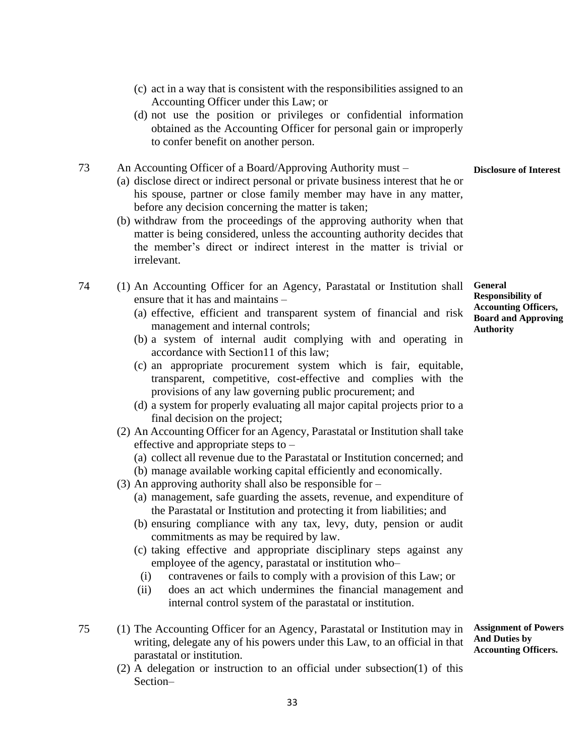- (c) act in a way that is consistent with the responsibilities assigned to an Accounting Officer under this Law; or
- (d) not use the position or privileges or confidential information obtained as the Accounting Officer for personal gain or improperly to confer benefit on another person.

#### 73 An Accounting Officer of a Board/Approving Authority must – **Disclosure of Interest**

- (a) disclose direct or indirect personal or private business interest that he or his spouse, partner or close family member may have in any matter, before any decision concerning the matter is taken;
- (b) withdraw from the proceedings of the approving authority when that matter is being considered, unless the accounting authority decides that the member's direct or indirect interest in the matter is trivial or irrelevant.
- 74 (1) An Accounting Officer for an Agency, Parastatal or Institution shall ensure that it has and maintains –
	- (a) effective, efficient and transparent system of financial and risk management and internal controls;
	- (b) a system of internal audit complying with and operating in accordance with Section11 of this law;
	- (c) an appropriate procurement system which is fair, equitable, transparent, competitive, cost-effective and complies with the provisions of any law governing public procurement; and
	- (d) a system for properly evaluating all major capital projects prior to a final decision on the project;
	- (2) An Accounting Officer for an Agency, Parastatal or Institution shall take effective and appropriate steps to –
		- (a) collect all revenue due to the Parastatal or Institution concerned; and
		- (b) manage available working capital efficiently and economically.
	- (3) An approving authority shall also be responsible for
		- (a) management, safe guarding the assets, revenue, and expenditure of the Parastatal or Institution and protecting it from liabilities; and
		- (b) ensuring compliance with any tax, levy, duty, pension or audit commitments as may be required by law.
		- (c) taking effective and appropriate disciplinary steps against any employee of the agency, parastatal or institution who–
			- (i) contravenes or fails to comply with a provision of this Law; or
		- (ii) does an act which undermines the financial management and internal control system of the parastatal or institution.
- 75 (1) The Accounting Officer for an Agency, Parastatal or Institution may in writing, delegate any of his powers under this Law, to an official in that parastatal or institution.
	- (2) A delegation or instruction to an official under subsection(1) of this Section–

**General Responsibility of Accounting Officers, Board and Approving Authority**

**Assignment of Powers**

**And Duties by Accounting Officers.**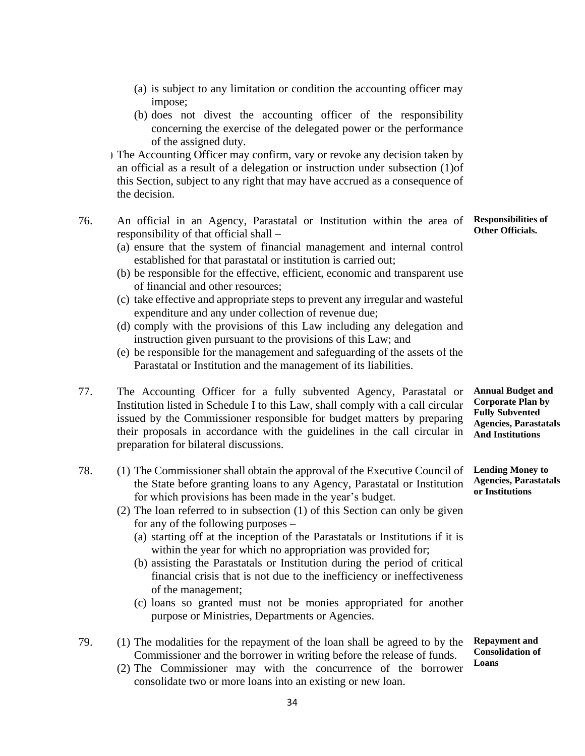- (a) is subject to any limitation or condition the accounting officer may impose;
- (b) does not divest the accounting officer of the responsibility concerning the exercise of the delegated power or the performance of the assigned duty.

(3) The Accounting Officer may confirm, vary or revoke any decision taken by an official as a result of a delegation or instruction under subsection (1)of this Section, subject to any right that may have accrued as a consequence of the decision.

- 76. An official in an Agency, Parastatal or Institution within the area of responsibility of that official shall –
	- (a) ensure that the system of financial management and internal control established for that parastatal or institution is carried out;
	- (b) be responsible for the effective, efficient, economic and transparent use of financial and other resources;
	- (c) take effective and appropriate steps to prevent any irregular and wasteful expenditure and any under collection of revenue due;
	- (d) comply with the provisions of this Law including any delegation and instruction given pursuant to the provisions of this Law; and
	- (e) be responsible for the management and safeguarding of the assets of the Parastatal or Institution and the management of its liabilities.
- 77. The Accounting Officer for a fully subvented Agency, Parastatal or Institution listed in Schedule I to this Law, shall comply with a call circular issued by the Commissioner responsible for budget matters by preparing their proposals in accordance with the guidelines in the call circular in preparation for bilateral discussions.
- 78. (1) The Commissioner shall obtain the approval of the Executive Council of the State before granting loans to any Agency, Parastatal or Institution for which provisions has been made in the year's budget.
	- (2) The loan referred to in subsection (1) of this Section can only be given for any of the following purposes –
		- (a) starting off at the inception of the Parastatals or Institutions if it is within the year for which no appropriation was provided for;
		- (b) assisting the Parastatals or Institution during the period of critical financial crisis that is not due to the inefficiency or ineffectiveness of the management;
		- (c) loans so granted must not be monies appropriated for another purpose or Ministries, Departments or Agencies.
- 79. (1) The modalities for the repayment of the loan shall be agreed to by the Commissioner and the borrower in writing before the release of funds. **Repayment and** 
	- (2) The Commissioner may with the concurrence of the borrower consolidate two or more loans into an existing or new loan.

**Annual Budget and Corporate Plan by Fully Subvented Agencies, Parastatals And Institutions**

**Lending Money to Agencies, Parastatals or Institutions**

**Consolidation of Loans**

**Responsibilities of Other Officials.**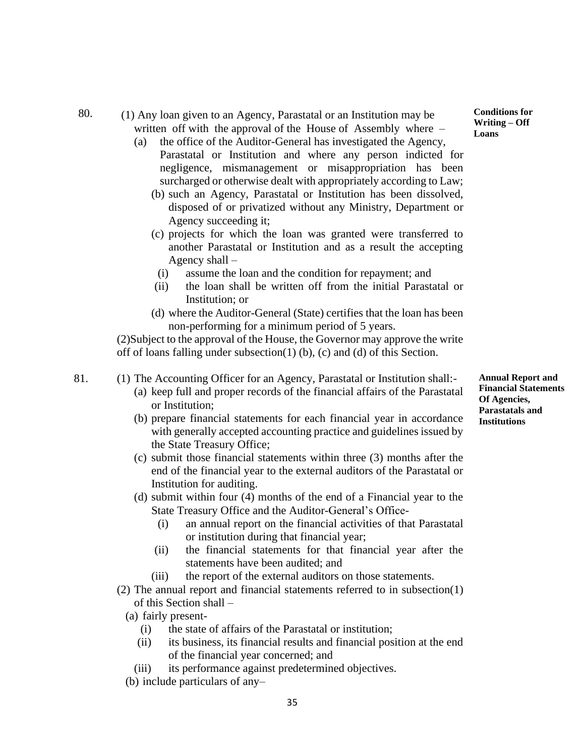- 80. (1) Any loan given to an Agency, Parastatal or an Institution may be written off with the approval of the House of Assembly where –
	- (a) the office of the Auditor-General has investigated the Agency, Parastatal or Institution and where any person indicted for negligence, mismanagement or misappropriation has been surcharged or otherwise dealt with appropriately according to Law;
		- (b) such an Agency, Parastatal or Institution has been dissolved, disposed of or privatized without any Ministry, Department or Agency succeeding it;
		- (c) projects for which the loan was granted were transferred to another Parastatal or Institution and as a result the accepting Agency shall –
		- (i) assume the loan and the condition for repayment; and
		- (ii) the loan shall be written off from the initial Parastatal or Institution; or
		- (d) where the Auditor-General (State) certifies that the loan has been non-performing for a minimum period of 5 years.

(2)Subject to the approval of the House, the Governor may approve the write off of loans falling under subsection(1) (b), (c) and (d) of this Section.

- 81. (1) The Accounting Officer for an Agency, Parastatal or Institution shall:- (a) keep full and proper records of the financial affairs of the Parastatal or Institution;
	- (b) prepare financial statements for each financial year in accordance with generally accepted accounting practice and guidelines issued by the State Treasury Office;
	- (c) submit those financial statements within three (3) months after the end of the financial year to the external auditors of the Parastatal or Institution for auditing.
	- (d) submit within four (4) months of the end of a Financial year to the State Treasury Office and the Auditor-General's Office-
		- (i) an annual report on the financial activities of that Parastatal or institution during that financial year;
		- (ii) the financial statements for that financial year after the statements have been audited; and
		- (iii) the report of the external auditors on those statements.
	- (2) The annual report and financial statements referred to in subsection(1) of this Section shall –
		- (a) fairly present-
			- (i) the state of affairs of the Parastatal or institution;
			- (ii) its business, its financial results and financial position at the end of the financial year concerned; and
			- (iii) its performance against predetermined objectives.
		- (b) include particulars of any–

**Conditions for Writing – Off Loans**

**Annual Report and Financial Statements Of Agencies, Parastatals and Institutions**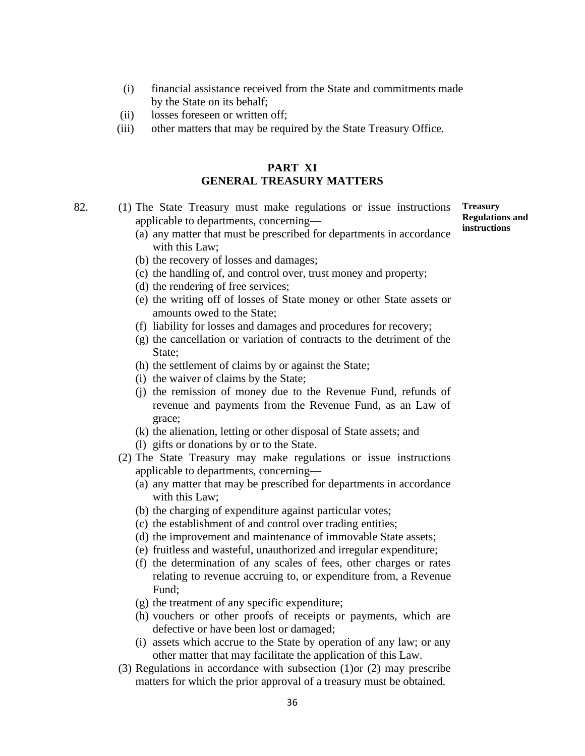- (i) financial assistance received from the State and commitments made by the State on its behalf;
- (ii) losses foreseen or written off;
- (iii) other matters that may be required by the State Treasury Office.

#### **PART XI GENERAL TREASURY MATTERS**

- 82. (1) The State Treasury must make regulations or issue instructions applicable to departments, concerning—
	- (a) any matter that must be prescribed for departments in accordance with this Law;
	- (b) the recovery of losses and damages;
	- (c) the handling of, and control over, trust money and property;
	- (d) the rendering of free services;
	- (e) the writing off of losses of State money or other State assets or amounts owed to the State;
	- (f) liability for losses and damages and procedures for recovery;
	- (g) the cancellation or variation of contracts to the detriment of the State;
	- (h) the settlement of claims by or against the State;
	- (i) the waiver of claims by the State;
	- (j) the remission of money due to the Revenue Fund, refunds of revenue and payments from the Revenue Fund, as an Law of grace;
	- (k) the alienation, letting or other disposal of State assets; and
	- (l) gifts or donations by or to the State.
	- (2) The State Treasury may make regulations or issue instructions applicable to departments, concerning—
		- (a) any matter that may be prescribed for departments in accordance with this Law;
		- (b) the charging of expenditure against particular votes;
		- (c) the establishment of and control over trading entities;
		- (d) the improvement and maintenance of immovable State assets;
		- (e) fruitless and wasteful, unauthorized and irregular expenditure;
		- (f) the determination of any scales of fees, other charges or rates relating to revenue accruing to, or expenditure from, a Revenue Fund;
		- (g) the treatment of any specific expenditure;
		- (h) vouchers or other proofs of receipts or payments, which are defective or have been lost or damaged;
		- (i) assets which accrue to the State by operation of any law; or any other matter that may facilitate the application of this Law.
	- (3) Regulations in accordance with subsection (1)or (2) may prescribe matters for which the prior approval of a treasury must be obtained.

**Treasury Regulations and instructions**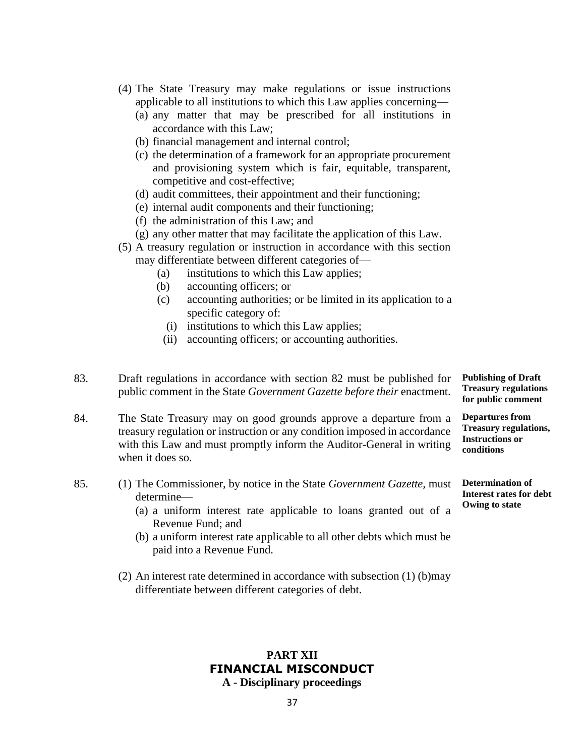- (4) The State Treasury may make regulations or issue instructions applicable to all institutions to which this Law applies concerning—
	- (a) any matter that may be prescribed for all institutions in accordance with this Law;
	- (b) financial management and internal control;
	- (c) the determination of a framework for an appropriate procurement and provisioning system which is fair, equitable, transparent, competitive and cost-effective;
	- (d) audit committees, their appointment and their functioning;
	- (e) internal audit components and their functioning;
	- (f) the administration of this Law; and
	- (g) any other matter that may facilitate the application of this Law.
- (5) A treasury regulation or instruction in accordance with this section may differentiate between different categories of—
	- (a) institutions to which this Law applies;
	- (b) accounting officers; or
	- (c) accounting authorities; or be limited in its application to a specific category of:
		- (i) institutions to which this Law applies;
		- (ii) accounting officers; or accounting authorities.
- 83. Draft regulations in accordance with section 82 must be published for public comment in the State *Government Gazette before their* enactment. **Publishing of Draft Treasury regulations for public comment**

**Departures from Treasury regulations, Instructions or conditions**

**Determination of Interest rates for debt**

**Owing to state**

- 84. The State Treasury may on good grounds approve a departure from a treasury regulation or instruction or any condition imposed in accordance with this Law and must promptly inform the Auditor-General in writing when it does so.
- 85. (1) The Commissioner, by notice in the State *Government Gazette,* must determine—
	- (a) a uniform interest rate applicable to loans granted out of a Revenue Fund; and
	- (b) a uniform interest rate applicable to all other debts which must be paid into a Revenue Fund.
	- (2) An interest rate determined in accordance with subsection (1) (b)may differentiate between different categories of debt.

#### **PART XII FINANCIAL MISCONDUCT A - Disciplinary proceedings**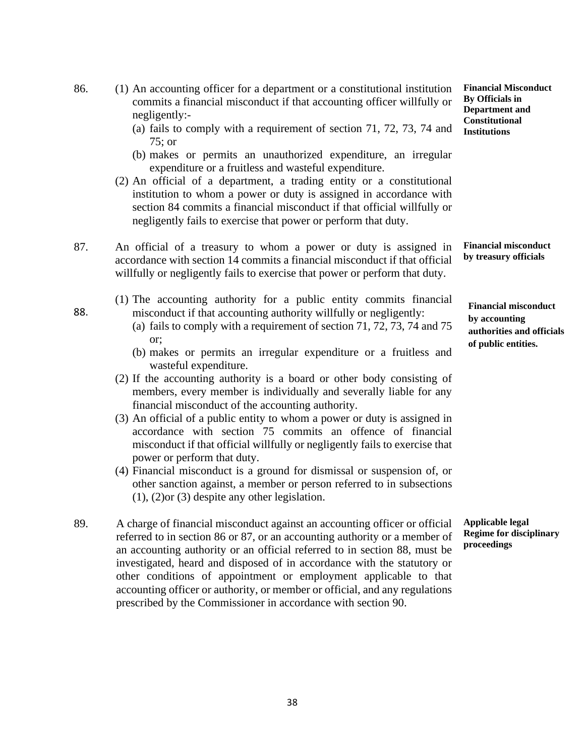- 86. (1) An accounting officer for a department or a constitutional institution commits a financial misconduct if that accounting officer willfully or negligently:-
	- (a) fails to comply with a requirement of section 71, 72, 73, 74 and 75; or
	- (b) makes or permits an unauthorized expenditure, an irregular expenditure or a fruitless and wasteful expenditure.
	- (2) An official of a department, a trading entity or a constitutional institution to whom a power or duty is assigned in accordance with section 84 commits a financial misconduct if that official willfully or negligently fails to exercise that power or perform that duty.
- 87. An official of a treasury to whom a power or duty is assigned in accordance with section 14 commits a financial misconduct if that official willfully or negligently fails to exercise that power or perform that duty.

88.

- (1) The accounting authority for a public entity commits financial misconduct if that accounting authority willfully or negligently:
	- (a) fails to comply with a requirement of section 71, 72, 73, 74 and 75 or;
	- (b) makes or permits an irregular expenditure or a fruitless and wasteful expenditure.
- (2) If the accounting authority is a board or other body consisting of members, every member is individually and severally liable for any financial misconduct of the accounting authority.
- (3) An official of a public entity to whom a power or duty is assigned in accordance with section 75 commits an offence of financial misconduct if that official willfully or negligently fails to exercise that power or perform that duty.
- (4) Financial misconduct is a ground for dismissal or suspension of, or other sanction against, a member or person referred to in subsections (1), (2)or (3) despite any other legislation.
- 89. A charge of financial misconduct against an accounting officer or official referred to in section 86 or 87, or an accounting authority or a member of an accounting authority or an official referred to in section 88, must be investigated, heard and disposed of in accordance with the statutory or other conditions of appointment or employment applicable to that accounting officer or authority, or member or official, and any regulations prescribed by the Commissioner in accordance with section 90.

**Financial Misconduct By Officials in Department and Constitutional Institutions**

**Financial misconduct by treasury officials**

**Financial misconduct by accounting authorities and officials of public entities.**

**Applicable legal Regime for disciplinary proceedings**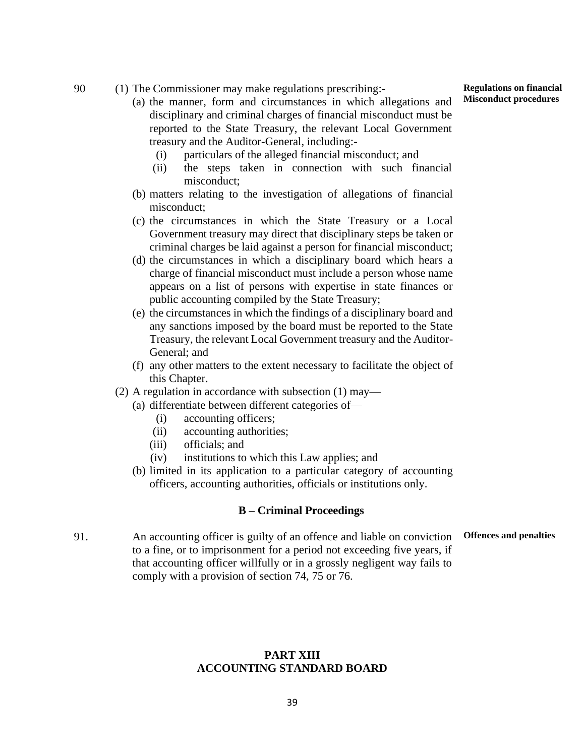90 (1) The Commissioner may make regulations prescribing:-

- (a) the manner, form and circumstances in which allegations and disciplinary and criminal charges of financial misconduct must be reported to the State Treasury, the relevant Local Government treasury and the Auditor-General, including:-
	- (i) particulars of the alleged financial misconduct; and
	- (ii) the steps taken in connection with such financial misconduct;
- (b) matters relating to the investigation of allegations of financial misconduct;
- (c) the circumstances in which the State Treasury or a Local Government treasury may direct that disciplinary steps be taken or criminal charges be laid against a person for financial misconduct;
- (d) the circumstances in which a disciplinary board which hears a charge of financial misconduct must include a person whose name appears on a list of persons with expertise in state finances or public accounting compiled by the State Treasury;
- (e) the circumstances in which the findings of a disciplinary board and any sanctions imposed by the board must be reported to the State Treasury, the relevant Local Government treasury and the Auditor-General; and
- (f) any other matters to the extent necessary to facilitate the object of this Chapter.
- (2) A regulation in accordance with subsection (1) may—
	- (a) differentiate between different categories of—
		- (i) accounting officers;
		- (ii) accounting authorities;
		- (iii) officials; and
		- (iv) institutions to which this Law applies; and
	- (b) limited in its application to a particular category of accounting officers, accounting authorities, officials or institutions only.

#### **B – Criminal Proceedings**

91. An accounting officer is guilty of an offence and liable on conviction to a fine, or to imprisonment for a period not exceeding five years, if that accounting officer willfully or in a grossly negligent way fails to comply with a provision of section 74, 75 or 76. **Offences and penalties**

#### **PART XIII ACCOUNTING STANDARD BOARD**

**Regulations on financial Misconduct procedures**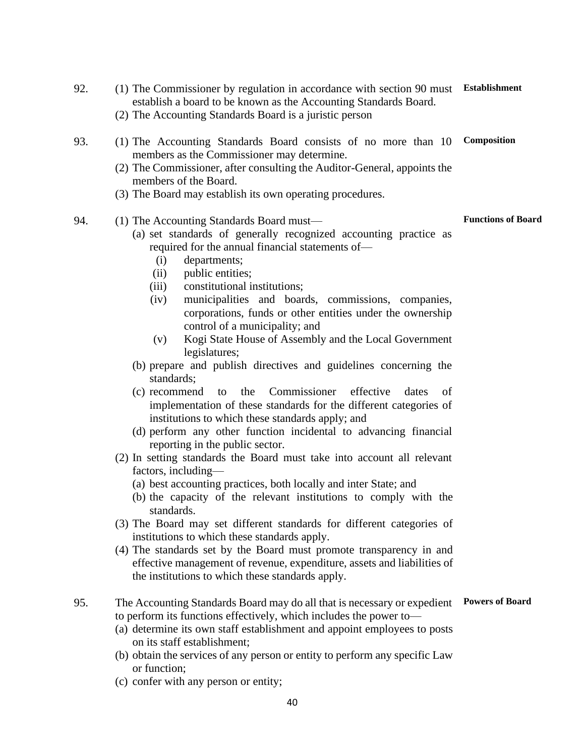- 92. (1) The Commissioner by regulation in accordance with section 90 must **Establishment** establish a board to be known as the Accounting Standards Board. (2) The Accounting Standards Board is a juristic person 93. (1) The Accounting Standards Board consists of no more than 10 members as the Commissioner may determine. (2) The Commissioner, after consulting the Auditor-General, appoints the members of the Board. (3) The Board may establish its own operating procedures. **Composition** 94. (1) The Accounting Standards Board must— (a) set standards of generally recognized accounting practice as required for the annual financial statements of— (i) departments; (ii) public entities; (iii) constitutional institutions; (iv) municipalities and boards, commissions, companies, corporations, funds or other entities under the ownership control of a municipality; and (v) Kogi State House of Assembly and the Local Government legislatures; (b) prepare and publish directives and guidelines concerning the standards; (c) recommend to the Commissioner effective dates of implementation of these standards for the different categories of institutions to which these standards apply; and (d) perform any other function incidental to advancing financial reporting in the public sector. (2) In setting standards the Board must take into account all relevant factors, including— (a) best accounting practices, both locally and inter State; and (b) the capacity of the relevant institutions to comply with the standards. (3) The Board may set different standards for different categories of institutions to which these standards apply. (4) The standards set by the Board must promote transparency in and **Functions of Board**
	- effective management of revenue, expenditure, assets and liabilities of the institutions to which these standards apply.

#### 95. The Accounting Standards Board may do all that is necessary or expedient to perform its functions effectively, which includes the power to— **Powers of Board**

- (a) determine its own staff establishment and appoint employees to posts on its staff establishment;
- (b) obtain the services of any person or entity to perform any specific Law or function;
- (c) confer with any person or entity;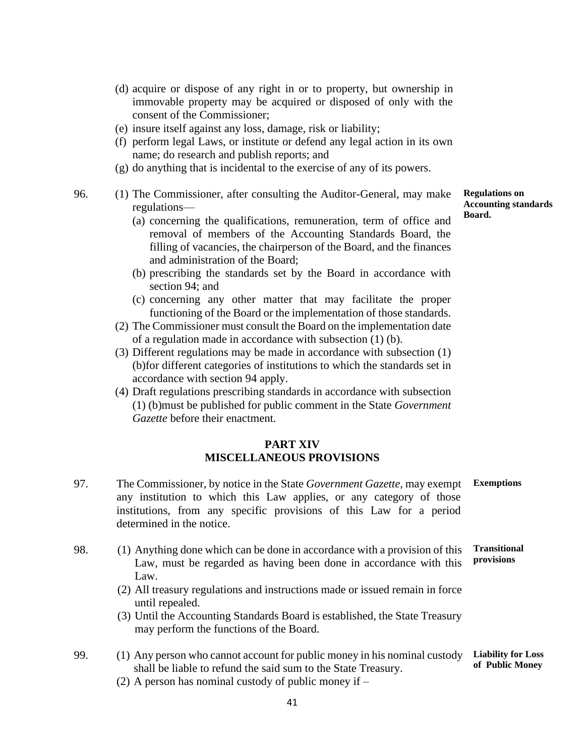- (d) acquire or dispose of any right in or to property, but ownership in immovable property may be acquired or disposed of only with the consent of the Commissioner;
- (e) insure itself against any loss, damage, risk or liability;
- (f) perform legal Laws, or institute or defend any legal action in its own name; do research and publish reports; and
- (g) do anything that is incidental to the exercise of any of its powers.
- 96. (1) The Commissioner, after consulting the Auditor-General, may make regulations—
	- (a) concerning the qualifications, remuneration, term of office and removal of members of the Accounting Standards Board, the filling of vacancies, the chairperson of the Board, and the finances and administration of the Board;
	- (b) prescribing the standards set by the Board in accordance with section 94; and
	- (c) concerning any other matter that may facilitate the proper functioning of the Board or the implementation of those standards.
	- (2) The Commissioner must consult the Board on the implementation date of a regulation made in accordance with subsection (1) (b).
	- (3) Different regulations may be made in accordance with subsection (1) (b)for different categories of institutions to which the standards set in accordance with section 94 apply.
	- (4) Draft regulations prescribing standards in accordance with subsection (1) (b)must be published for public comment in the State *Government Gazette* before their enactment.

#### **PART XIV MISCELLANEOUS PROVISIONS**

- 97. The Commissioner, by notice in the State *Government Gazette,* may exempt any institution to which this Law applies, or any category of those institutions, from any specific provisions of this Law for a period determined in the notice. **Exemptions**
- 98. (1) Anything done which can be done in accordance with a provision of this Law, must be regarded as having been done in accordance with this Law. **Transitional provisions**
	- (2) All treasury regulations and instructions made or issued remain in force until repealed.
	- (3) Until the Accounting Standards Board is established, the State Treasury may perform the functions of the Board.
- 99. (1) Any person who cannot account for public money in his nominal custody shall be liable to refund the said sum to the State Treasury. **Liability for Loss of Public Money**
	- (2) A person has nominal custody of public money if –

**Regulations on Accounting standards Board.**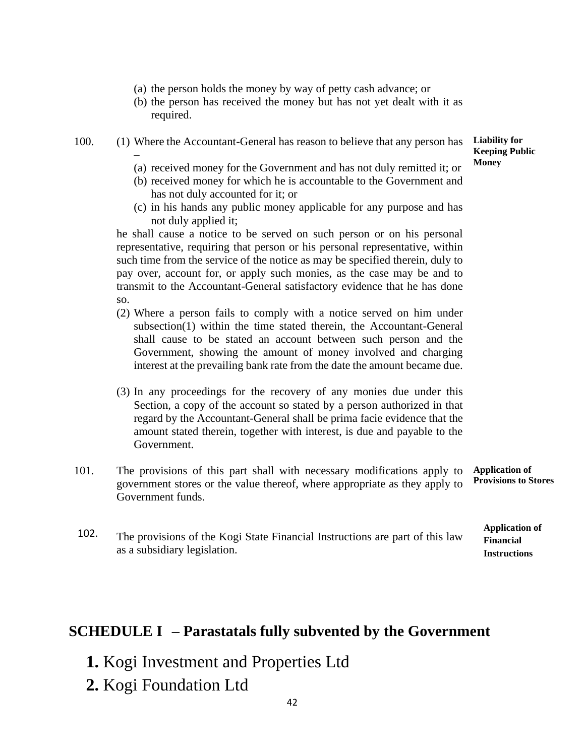- (a) the person holds the money by way of petty cash advance; or
- (b) the person has received the money but has not yet dealt with it as required.
- 100. (1) Where the Accountant-General has reason to believe that any person has –

**Liability for Keeping Public Money**

> **Financial Instructions**

- (a) received money for the Government and has not duly remitted it; or
- (b) received money for which he is accountable to the Government and has not duly accounted for it; or
- (c) in his hands any public money applicable for any purpose and has not duly applied it;

he shall cause a notice to be served on such person or on his personal representative, requiring that person or his personal representative, within such time from the service of the notice as may be specified therein, duly to pay over, account for, or apply such monies, as the case may be and to transmit to the Accountant-General satisfactory evidence that he has done so.

- (2) Where a person fails to comply with a notice served on him under subsection(1) within the time stated therein, the Accountant-General shall cause to be stated an account between such person and the Government, showing the amount of money involved and charging interest at the prevailing bank rate from the date the amount became due.
- (3) In any proceedings for the recovery of any monies due under this Section, a copy of the account so stated by a person authorized in that regard by the Accountant-General shall be prima facie evidence that the amount stated therein, together with interest, is due and payable to the Government.
- 101. The provisions of this part shall with necessary modifications apply to government stores or the value thereof, where appropriate as they apply to Government funds. **Application of Provisions to Stores**
- 102. The provisions of the Kogi State Financial Instructions are part of this law **Application of** as a subsidiary legislation.

## **SCHEDULE I – Parastatals fully subvented by the Government**

- **1.** Kogi Investment and Properties Ltd
- **2.** Kogi Foundation Ltd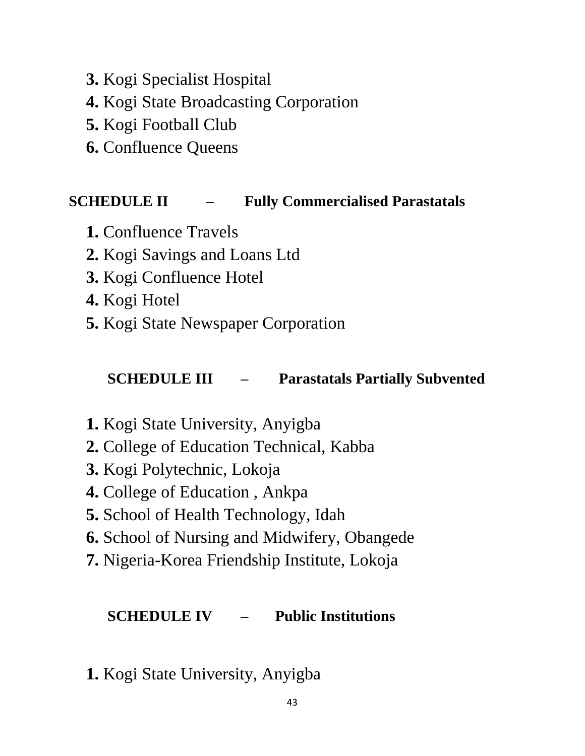- **3.** Kogi Specialist Hospital
- **4.** Kogi State Broadcasting Corporation
- **5.** Kogi Football Club
- **6.** Confluence Queens

# **SCHEDULE II – Fully Commercialised Parastatals**

- **1.** Confluence Travels
- **2.** Kogi Savings and Loans Ltd
- **3.** Kogi Confluence Hotel
- **4.** Kogi Hotel
- **5.** Kogi State Newspaper Corporation

# **SCHEDULE III – Parastatals Partially Subvented**

- **1.** Kogi State University, Anyigba
- **2.** College of Education Technical, Kabba
- **3.** Kogi Polytechnic, Lokoja
- **4.** College of Education , Ankpa
- **5.** School of Health Technology, Idah
- **6.** School of Nursing and Midwifery, Obangede
- **7.** Nigeria-Korea Friendship Institute, Lokoja

## **SCHEDULE IV – Public Institutions**

**1.** Kogi State University, Anyigba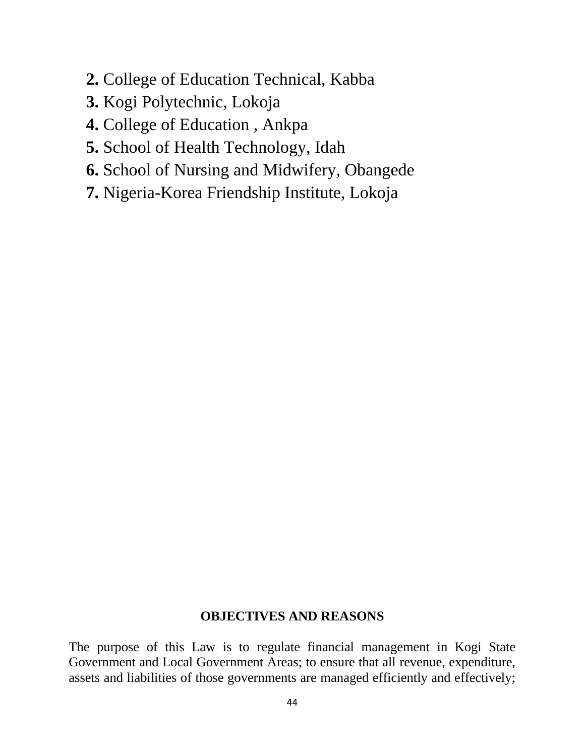- **2.** College of Education Technical, Kabba
- **3.** Kogi Polytechnic, Lokoja
- **4.** College of Education , Ankpa
- **5.** School of Health Technology, Idah
- **6.** School of Nursing and Midwifery, Obangede
- **7.** Nigeria-Korea Friendship Institute, Lokoja

### **OBJECTIVES AND REASONS**

The purpose of this Law is to regulate financial management in Kogi State Government and Local Government Areas; to ensure that all revenue, expenditure, assets and liabilities of those governments are managed efficiently and effectively;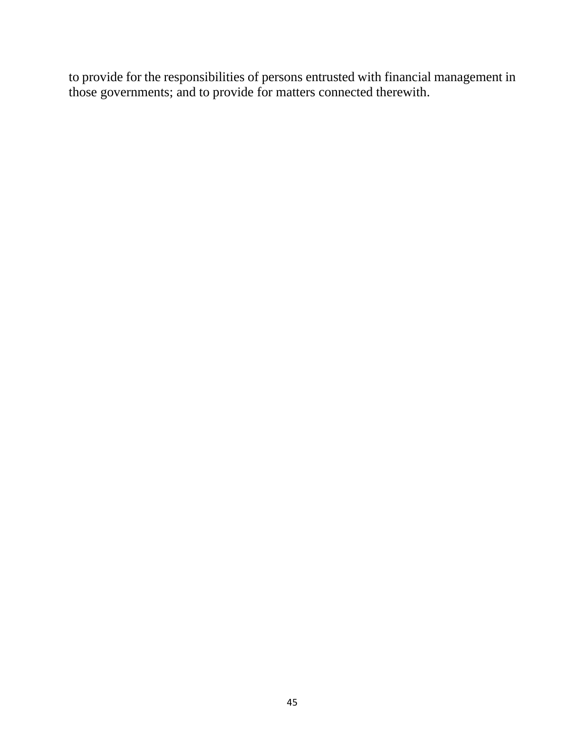to provide for the responsibilities of persons entrusted with financial management in those governments; and to provide for matters connected therewith.